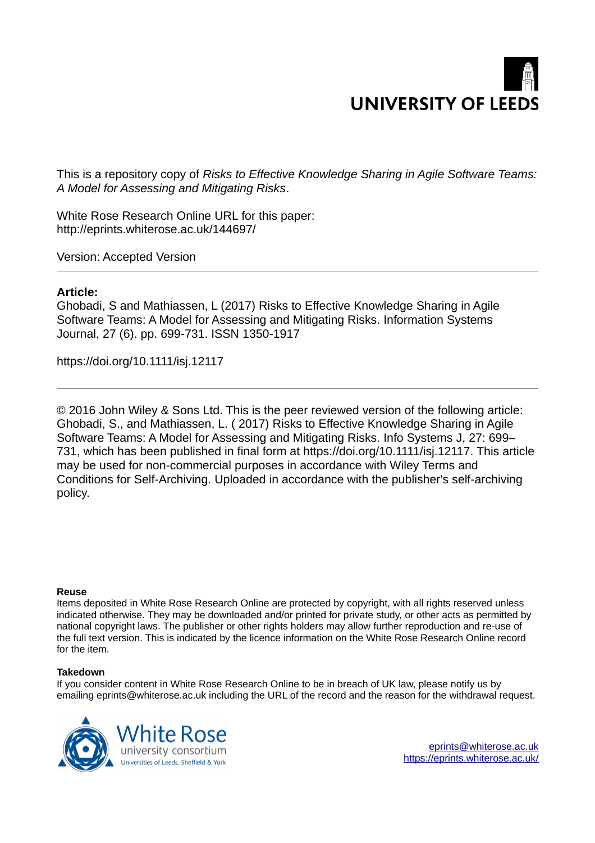# **UNIVERSITY OF LEED**

This is a repository copy of *Risks to Effective Knowledge Sharing in Agile Software Teams: A Model for Assessing and Mitigating Risks*.

White Rose Research Online URL for this paper: http://eprints.whiterose.ac.uk/144697/

Version: Accepted Version

## **Article:**

Ghobadi, S and Mathiassen, L (2017) Risks to Effective Knowledge Sharing in Agile Software Teams: A Model for Assessing and Mitigating Risks. Information Systems Journal, 27 (6). pp. 699-731. ISSN 1350-1917

https://doi.org/10.1111/isj.12117

© 2016 John Wiley & Sons Ltd. This is the peer reviewed version of the following article: Ghobadi, S., and Mathiassen, L. ( 2017) Risks to Effective Knowledge Sharing in Agile Software Teams: A Model for Assessing and Mitigating Risks. Info Systems J, 27: 699– 731, which has been published in final form at https://doi.org/10.1111/isj.12117. This article may be used for non-commercial purposes in accordance with Wiley Terms and Conditions for Self-Archiving. Uploaded in accordance with the publisher's self-archiving policy.

#### **Reuse**

Items deposited in White Rose Research Online are protected by copyright, with all rights reserved unless indicated otherwise. They may be downloaded and/or printed for private study, or other acts as permitted by national copyright laws. The publisher or other rights holders may allow further reproduction and re-use of the full text version. This is indicated by the licence information on the White Rose Research Online record for the item.

#### **Takedown**

If you consider content in White Rose Research Online to be in breach of UK law, please notify us by emailing eprints@whiterose.ac.uk including the URL of the record and the reason for the withdrawal request.

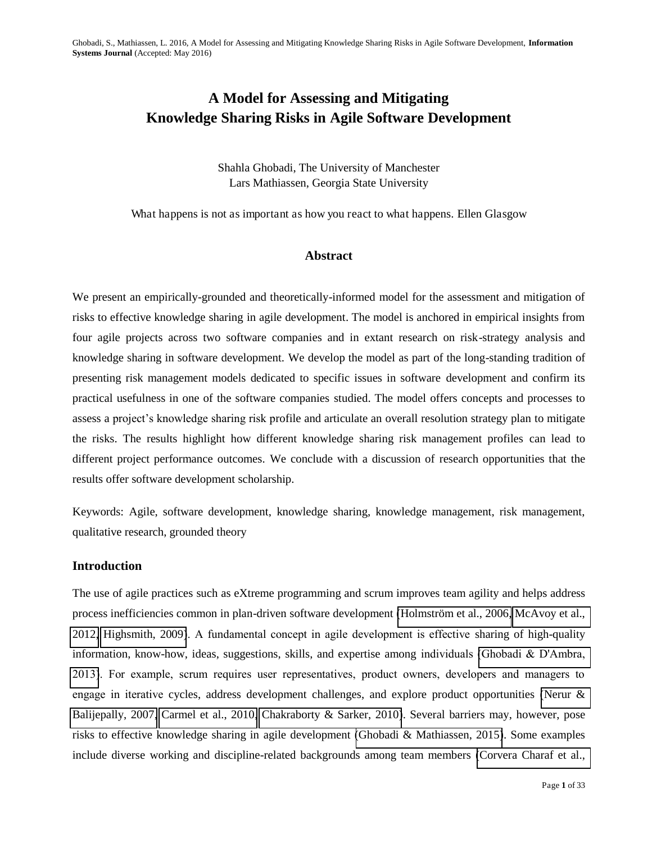## **A Model for Assessing and Mitigating Knowledge Sharing Risks in Agile Software Development**

Shahla Ghobadi, The University of Manchester Lars Mathiassen, Georgia State University

What happens is not as important as how you react to what happens. Ellen Glasgow

#### **Abstract**

We present an empirically-grounded and theoretically-informed model for the assessment and mitigation of risks to effective knowledge sharing in agile development. The model is anchored in empirical insights from four agile projects across two software companies and in extant research on risk-strategy analysis and knowledge sharing in software development. We develop the model as part of the long-standing tradition of presenting risk management models dedicated to specific issues in software development and confirm its practical usefulness in one of the software companies studied. The model offers concepts and processes to assess a project's knowledge sharing risk profile and articulate an overall resolution strategy plan to mitigate the risks. The results highlight how different knowledge sharing risk management profiles can lead to different project performance outcomes. We conclude with a discussion of research opportunities that the results offer software development scholarship.

Keywords: Agile, software development, knowledge sharing, knowledge management, risk management, qualitative research, grounded theory

#### **Introduction**

The use of agile practices such as eXtreme programming and scrum improves team agility and helps address process inefficiencies common in plan-driven software development [\(Holmström et al., 2006,](#page-27-0) [McAvoy et al.,](#page-27-1)  [2012,](#page-27-1) [Highsmith, 2009\)](#page-27-2). A fundamental concept in agile development is effective sharing of high-quality information, know-how, ideas, suggestions, skills, and expertise among individuals [\(Ghobadi & D'Ambra,](#page-27-3)  [2013\)](#page-27-3). For example, scrum requires user representatives, product owners, developers and managers to engage in iterative cycles, address development challenges, and explore product opportunities [\(Nerur &](#page-28-0)  [Balijepally, 2007,](#page-28-0) [Carmel et al., 2010,](#page-26-0) [Chakraborty & Sarker, 2010\)](#page-26-1). Several barriers may, however, pose risks to effective knowledge sharing in agile development [\(Ghobadi & Mathiassen, 2015\)](#page-27-4). Some examples include diverse working and discipline-related backgrounds among team members [\(Corvera Charaf et al.,](#page-26-2)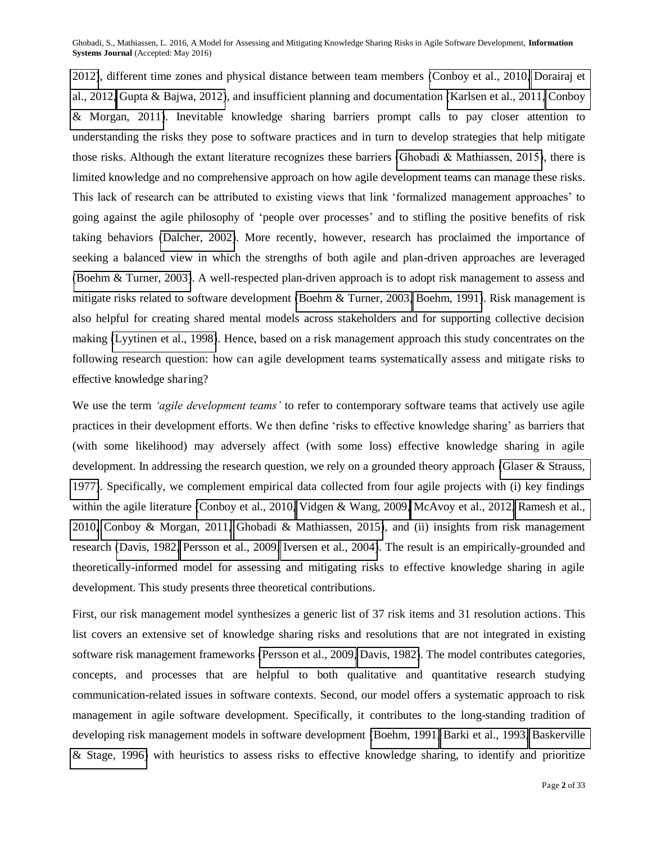[2012\)](#page-26-2), different time zones and physical distance between team members [\(Conboy et al., 2010,](#page-26-3) [Dorairaj et](#page-27-5)  [al., 2012,](#page-27-5) [Gupta & Bajwa, 2012\)](#page-27-6), and insufficient planning and documentation [\(Karlsen et al., 2011,](#page-27-7) [Conboy](#page-26-4)  [& Morgan, 2011\)](#page-26-4). Inevitable knowledge sharing barriers prompt calls to pay closer attention to understanding the risks they pose to software practices and in turn to develop strategies that help mitigate those risks. Although the extant literature recognizes these barriers [\(Ghobadi & Mathiassen, 2015\)](#page-27-4), there is limited knowledge and no comprehensive approach on how agile development teams can manage these risks. This lack of research can be attributed to existing views that link 'formalized management approaches' to going against the agile philosophy of 'people over processes' and to stifling the positive benefits of risk taking behaviors [\(Dalcher, 2002\)](#page-26-5). More recently, however, research has proclaimed the importance of seeking a balanced view in which the strengths of both agile and plan-driven approaches are leveraged [\(Boehm & Turner, 2003\)](#page-26-6). A well-respected plan-driven approach is to adopt risk management to assess and mitigate risks related to software development [\(Boehm & Turner, 2003,](#page-26-6) [Boehm, 1991\)](#page-26-7). Risk management is also helpful for creating shared mental models across stakeholders and for supporting collective decision making [\(Lyytinen et al., 1998\)](#page-27-8). Hence, based on a risk management approach this study concentrates on the following research question: how can agile development teams systematically assess and mitigate risks to effective knowledge sharing?

We use the term *'agile development teams'* to refer to contemporary software teams that actively use agile practices in their development efforts. We then define 'risks to effective knowledge sharing' as barriers that (with some likelihood) may adversely affect (with some loss) effective knowledge sharing in agile development. In addressing the research question, we rely on a grounded theory approach [\(Glaser & Strauss,](#page-27-9)  [1977\)](#page-27-9). Specifically, we complement empirical data collected from four agile projects with (i) key findings within the agile literature [\(Conboy et al., 2010,](#page-26-3) [Vidgen & Wang, 2009,](#page-28-1) [McAvoy et al., 2012,](#page-27-1) [Ramesh et al.,](#page-28-2)  [2010,](#page-28-2) [Conboy & Morgan, 2011,](#page-26-4) [Ghobadi & Mathiassen, 2015\)](#page-27-4), and (ii) insights from risk management research [\(Davis, 1982,](#page-26-8) [Persson et al., 2009,](#page-28-3) [Iversen et al., 2004\)](#page-27-10). The result is an empirically-grounded and theoretically-informed model for assessing and mitigating risks to effective knowledge sharing in agile development. This study presents three theoretical contributions.

First, our risk management model synthesizes a generic list of 37 risk items and 31 resolution actions. This list covers an extensive set of knowledge sharing risks and resolutions that are not integrated in existing software risk management frameworks [\(Persson et al., 2009,](#page-28-3) [Davis, 1982\)](#page-26-8). The model contributes categories, concepts, and processes that are helpful to both qualitative and quantitative research studying communication-related issues in software contexts. Second, our model offers a systematic approach to risk management in agile software development. Specifically, it contributes to the long-standing tradition of developing risk management models in software development [\(Boehm, 1991,](#page-26-7) [Barki et al., 1993,](#page-26-9) [Baskerville](#page-26-10)  [& Stage, 1996\)](#page-26-10) with heuristics to assess risks to effective knowledge sharing, to identify and prioritize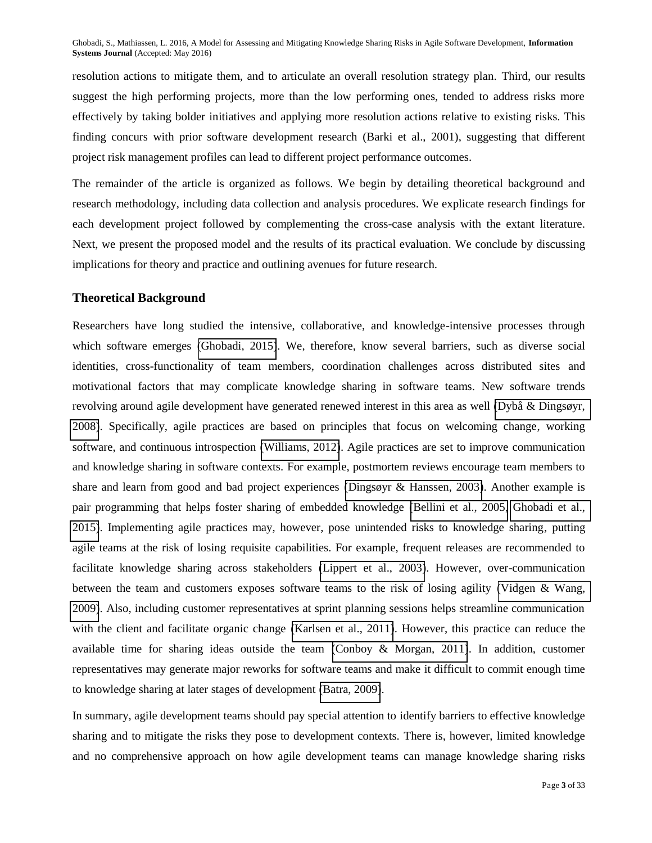resolution actions to mitigate them, and to articulate an overall resolution strategy plan. Third, our results suggest the high performing projects, more than the low performing ones, tended to address risks more effectively by taking bolder initiatives and applying more resolution actions relative to existing risks. This finding concurs with prior software development research (Barki et al., 2001), suggesting that different project risk management profiles can lead to different project performance outcomes.

The remainder of the article is organized as follows. We begin by detailing theoretical background and research methodology, including data collection and analysis procedures. We explicate research findings for each development project followed by complementing the cross-case analysis with the extant literature. Next, we present the proposed model and the results of its practical evaluation. We conclude by discussing implications for theory and practice and outlining avenues for future research.

#### **Theoretical Background**

Researchers have long studied the intensive, collaborative, and knowledge-intensive processes through which software emerges [\(Ghobadi, 2015\)](#page-27-11). We, therefore, know several barriers, such as diverse social identities, cross-functionality of team members, coordination challenges across distributed sites and motivational factors that may complicate knowledge sharing in software teams. New software trends revolving around agile development have generated renewed interest in this area as well [\(Dybå & Dingsøyr,](#page-27-12)  [2008\)](#page-27-12). Specifically, agile practices are based on principles that focus on welcoming change, working software, and continuous introspection [\(Williams, 2012\)](#page-28-4). Agile practices are set to improve communication and knowledge sharing in software contexts. For example, postmortem reviews encourage team members to share and learn from good and bad project experiences [\(Dingsøyr & Hanssen, 2003\)](#page-26-11). Another example is pair programming that helps foster sharing of embedded knowledge [\(Bellini et al., 2005,](#page-26-12) [Ghobadi et al.,](#page-27-13)  [2015\)](#page-27-13). Implementing agile practices may, however, pose unintended risks to knowledge sharing, putting agile teams at the risk of losing requisite capabilities. For example, frequent releases are recommended to facilitate knowledge sharing across stakeholders [\(Lippert et al., 2003\)](#page-27-14). However, over-communication between the team and customers exposes software teams to the risk of losing agility [\(Vidgen & Wang,](#page-28-1)  [2009\)](#page-28-1). Also, including customer representatives at sprint planning sessions helps streamline communication with the client and facilitate organic change [\(Karlsen et al., 2011\)](#page-27-7). However, this practice can reduce the available time for sharing ideas outside the team [\(Conboy & Morgan, 2011\)](#page-26-4). In addition, customer representatives may generate major reworks for software teams and make it difficult to commit enough time to knowledge sharing at later stages of development [\(Batra, 2009\)](#page-26-13).

In summary, agile development teams should pay special attention to identify barriers to effective knowledge sharing and to mitigate the risks they pose to development contexts. There is, however, limited knowledge and no comprehensive approach on how agile development teams can manage knowledge sharing risks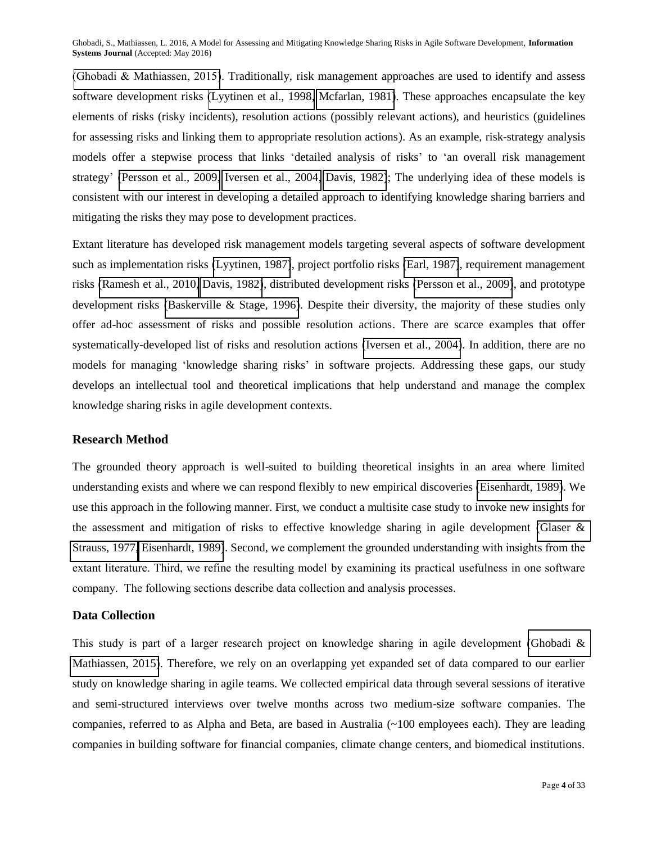[\(Ghobadi & Mathiassen, 2015\)](#page-27-4). Traditionally, risk management approaches are used to identify and assess software development risks [\(Lyytinen et al., 1998,](#page-27-8) [Mcfarlan, 1981\)](#page-27-15). These approaches encapsulate the key elements of risks (risky incidents), resolution actions (possibly relevant actions), and heuristics (guidelines for assessing risks and linking them to appropriate resolution actions). As an example, risk-strategy analysis models offer a stepwise process that links 'detailed analysis of risks' to 'an overall risk management strategy' [\(Persson et al., 2009,](#page-28-3) [Iversen et al., 2004,](#page-27-10) [Davis, 1982\)](#page-26-8); The underlying idea of these models is consistent with our interest in developing a detailed approach to identifying knowledge sharing barriers and mitigating the risks they may pose to development practices.

Extant literature has developed risk management models targeting several aspects of software development such as implementation risks [\(Lyytinen, 1987\)](#page-27-16), project portfolio risks [\(Earl, 1987\)](#page-27-17), requirement management risks [\(Ramesh et al., 2010,](#page-28-2) [Davis, 1982\)](#page-26-8), distributed development risks [\(Persson et al., 2009\)](#page-28-3), and prototype development risks [\(Baskerville & Stage, 1996\)](#page-26-10). Despite their diversity, the majority of these studies only offer ad-hoc assessment of risks and possible resolution actions. There are scarce examples that offer systematically-developed list of risks and resolution actions [\(Iversen et al., 2004\)](#page-27-10). In addition, there are no models for managing 'knowledge sharing risks' in software projects. Addressing these gaps, our study develops an intellectual tool and theoretical implications that help understand and manage the complex knowledge sharing risks in agile development contexts.

#### **Research Method**

The grounded theory approach is well-suited to building theoretical insights in an area where limited understanding exists and where we can respond flexibly to new empirical discoveries [\(Eisenhardt, 1989\)](#page-27-18). We use this approach in the following manner. First, we conduct a multisite case study to invoke new insights for the assessment and mitigation of risks to effective knowledge sharing in agile development [\(Glaser &](#page-27-9)  [Strauss, 1977,](#page-27-9) [Eisenhardt, 1989\)](#page-27-18). Second, we complement the grounded understanding with insights from the extant literature. Third, we refine the resulting model by examining its practical usefulness in one software company. The following sections describe data collection and analysis processes.

#### **Data Collection**

This study is part of a larger research project on knowledge sharing in agile development [\(Ghobadi &](#page-27-4)  [Mathiassen, 2015\)](#page-27-4). Therefore, we rely on an overlapping yet expanded set of data compared to our earlier study on knowledge sharing in agile teams. We collected empirical data through several sessions of iterative and semi-structured interviews over twelve months across two medium-size software companies. The companies, referred to as Alpha and Beta, are based in Australia (~100 employees each). They are leading companies in building software for financial companies, climate change centers, and biomedical institutions.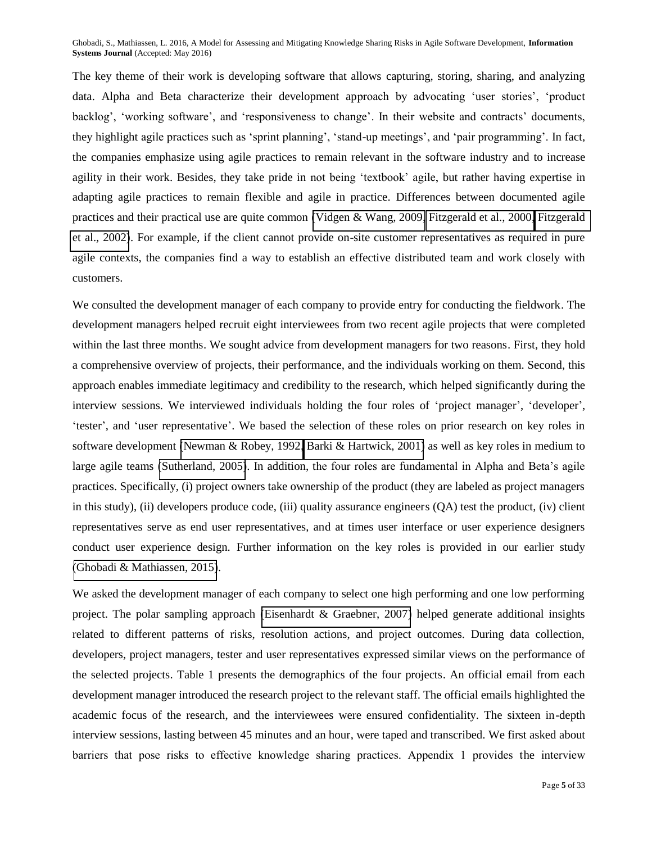The key theme of their work is developing software that allows capturing, storing, sharing, and analyzing data. Alpha and Beta characterize their development approach by advocating 'user stories', 'product backlog', 'working software', and 'responsiveness to change'. In their website and contracts' documents, they highlight agile practices such as 'sprint planning', 'stand-up meetings', and 'pair programming'. In fact, the companies emphasize using agile practices to remain relevant in the software industry and to increase agility in their work. Besides, they take pride in not being 'textbook' agile, but rather having expertise in adapting agile practices to remain flexible and agile in practice. Differences between documented agile practices and their practical use are quite common [\(Vidgen & Wang, 2009,](#page-28-1) [Fitzgerald et al., 2000,](#page-27-19) [Fitzgerald](#page-27-20)  [et al., 2002\)](#page-27-20). For example, if the client cannot provide on-site customer representatives as required in pure agile contexts, the companies find a way to establish an effective distributed team and work closely with customers.

We consulted the development manager of each company to provide entry for conducting the fieldwork. The development managers helped recruit eight interviewees from two recent agile projects that were completed within the last three months. We sought advice from development managers for two reasons. First, they hold a comprehensive overview of projects, their performance, and the individuals working on them. Second, this approach enables immediate legitimacy and credibility to the research, which helped significantly during the interview sessions. We interviewed individuals holding the four roles of 'project manager', 'developer', 'tester', and 'user representative'. We based the selection of these roles on prior research on key roles in software development [\(Newman & Robey, 1992,](#page-28-5) [Barki & Hartwick, 2001\)](#page-26-14) as well as key roles in medium to large agile teams [\(Sutherland, 2005\)](#page-28-6). In addition, the four roles are fundamental in Alpha and Beta's agile practices. Specifically, (i) project owners take ownership of the product (they are labeled as project managers in this study), (ii) developers produce code, (iii) quality assurance engineers (QA) test the product, (iv) client representatives serve as end user representatives, and at times user interface or user experience designers conduct user experience design. Further information on the key roles is provided in our earlier study [\(Ghobadi & Mathiassen, 2015\)](#page-27-4).

We asked the development manager of each company to select one high performing and one low performing project. The polar sampling approach [\(Eisenhardt & Graebner, 2007\)](#page-27-21) helped generate additional insights related to different patterns of risks, resolution actions, and project outcomes. During data collection, developers, project managers, tester and user representatives expressed similar views on the performance of the selected projects. Table 1 presents the demographics of the four projects. An official email from each development manager introduced the research project to the relevant staff. The official emails highlighted the academic focus of the research, and the interviewees were ensured confidentiality. The sixteen in-depth interview sessions, lasting between 45 minutes and an hour, were taped and transcribed. We first asked about barriers that pose risks to effective knowledge sharing practices. Appendix 1 provides the interview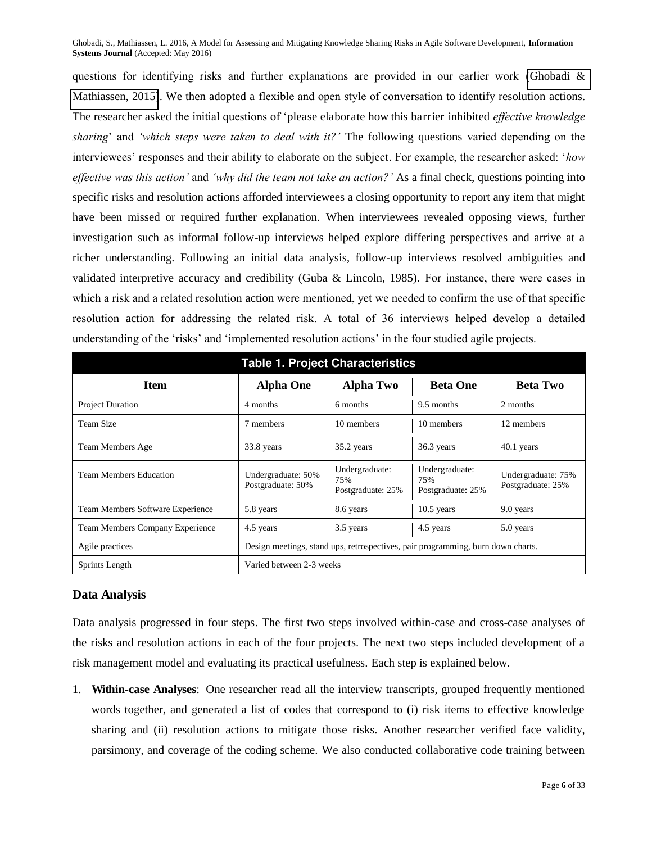questions for identifying risks and further explanations are provided in our earlier work [\(Ghobadi &](#page-27-4)  [Mathiassen, 2015\)](#page-27-4). We then adopted a flexible and open style of conversation to identify resolution actions. The researcher asked the initial questions of 'please elaborate how this barrier inhibited *effective knowledge sharing*' and *'which steps were taken to deal with it?'* The following questions varied depending on the interviewees' responses and their ability to elaborate on the subject. For example, the researcher asked: '*how effective was this action'* and *'why did the team not take an action?'* As a final check, questions pointing into specific risks and resolution actions afforded interviewees a closing opportunity to report any item that might have been missed or required further explanation. When interviewees revealed opposing views, further investigation such as informal follow-up interviews helped explore differing perspectives and arrive at a richer understanding. Following an initial data analysis, follow-up interviews resolved ambiguities and validated interpretive accuracy and credibility (Guba & Lincoln, 1985). For instance, there were cases in which a risk and a related resolution action were mentioned, yet we needed to confirm the use of that specific resolution action for addressing the related risk. A total of 36 interviews helped develop a detailed understanding of the 'risks' and 'implemented resolution actions' in the four studied agile projects.

| <b>Table 1. Project Characteristics</b> |                                                                                 |                                            |                                            |                                         |  |
|-----------------------------------------|---------------------------------------------------------------------------------|--------------------------------------------|--------------------------------------------|-----------------------------------------|--|
| <b>Item</b>                             | <b>Alpha One</b>                                                                | <b>Alpha Two</b>                           | <b>Beta One</b>                            | <b>Beta Two</b>                         |  |
| <b>Project Duration</b>                 | 4 months                                                                        | 6 months                                   | 9.5 months                                 | 2 months                                |  |
| Team Size                               | 7 members                                                                       | 10 members                                 | 10 members                                 | 12 members                              |  |
| Team Members Age                        | 33.8 years                                                                      | 35.2 years                                 | $36.3$ years                               | $40.1$ years                            |  |
| <b>Team Members Education</b>           | Undergraduate: 50%<br>Postgraduate: 50%                                         | Undergraduate:<br>75%<br>Postgraduate: 25% | Undergraduate:<br>75%<br>Postgraduate: 25% | Undergraduate: 75%<br>Postgraduate: 25% |  |
| Team Members Software Experience        | 5.8 years                                                                       | 8.6 years                                  | $10.5$ years                               | 9.0 years                               |  |
| <b>Team Members Company Experience</b>  | 4.5 years                                                                       | 3.5 years                                  | 4.5 years                                  | 5.0 years                               |  |
| Agile practices                         | Design meetings, stand ups, retrospectives, pair programming, burn down charts. |                                            |                                            |                                         |  |
| Sprints Length                          | Varied between 2-3 weeks                                                        |                                            |                                            |                                         |  |

#### **Data Analysis**

Data analysis progressed in four steps. The first two steps involved within-case and cross-case analyses of the risks and resolution actions in each of the four projects. The next two steps included development of a risk management model and evaluating its practical usefulness. Each step is explained below.

1. **Within-case Analyses**: One researcher read all the interview transcripts, grouped frequently mentioned words together, and generated a list of codes that correspond to (i) risk items to effective knowledge sharing and (ii) resolution actions to mitigate those risks. Another researcher verified face validity, parsimony, and coverage of the coding scheme. We also conducted collaborative code training between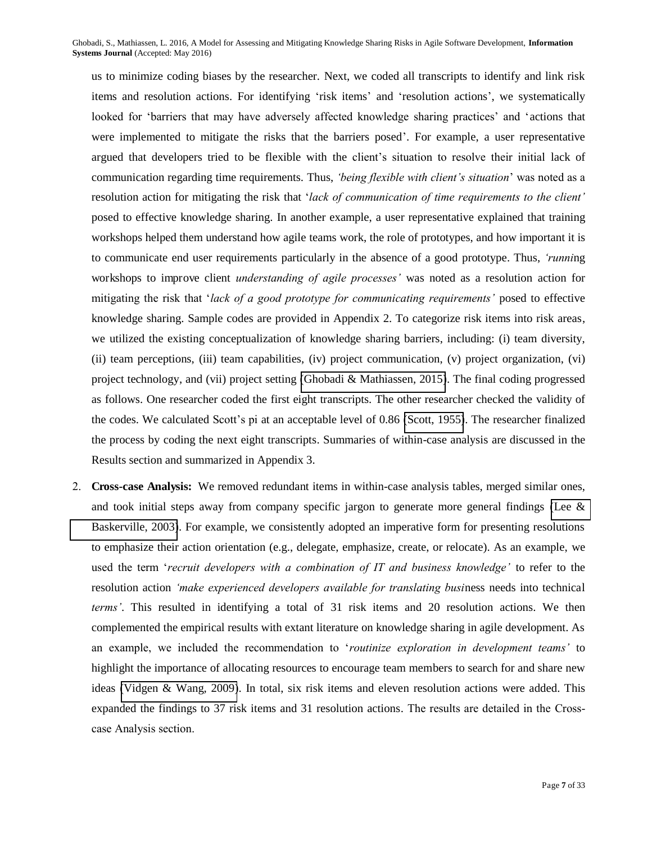us to minimize coding biases by the researcher. Next, we coded all transcripts to identify and link risk items and resolution actions. For identifying 'risk items' and 'resolution actions', we systematically looked for 'barriers that may have adversely affected knowledge sharing practices' and 'actions that were implemented to mitigate the risks that the barriers posed'. For example, a user representative argued that developers tried to be flexible with the client's situation to resolve their initial lack of communication regarding time requirements. Thus, *'being flexible with client's situation*' was noted as a resolution action for mitigating the risk that '*lack of communication of time requirements to the client'*  posed to effective knowledge sharing. In another example, a user representative explained that training workshops helped them understand how agile teams work, the role of prototypes, and how important it is to communicate end user requirements particularly in the absence of a good prototype. Thus, *'runni*ng workshops to improve client *understanding of agile processes'* was noted as a resolution action for mitigating the risk that '*lack of a good prototype for communicating requirements'* posed to effective knowledge sharing. Sample codes are provided in Appendix 2. To categorize risk items into risk areas, we utilized the existing conceptualization of knowledge sharing barriers, including: (i) team diversity, (ii) team perceptions, (iii) team capabilities, (iv) project communication, (v) project organization, (vi) project technology, and (vii) project setting [\(Ghobadi & Mathiassen, 2015\)](#page-27-4). The final coding progressed as follows. One researcher coded the first eight transcripts. The other researcher checked the validity of the codes. We calculated Scott's pi at an acceptable level of 0.86 [\(Scott, 1955\)](#page-28-7). The researcher finalized the process by coding the next eight transcripts. Summaries of within-case analysis are discussed in the Results section and summarized in Appendix 3.

2. **Cross-case Analysis:** We removed redundant items in within-case analysis tables, merged similar ones, and took initial steps away from company specific jargon to generate more general findings [\(Lee &](#page-27-22)  [Baskerville, 2003\)](#page-27-22). For example, we consistently adopted an imperative form for presenting resolutions to emphasize their action orientation (e.g., delegate, emphasize, create, or relocate). As an example, we used the term '*recruit developers with a combination of IT and business knowledge'* to refer to the resolution action *'make experienced developers available for translating busi*ness needs into technical *terms'*. This resulted in identifying a total of 31 risk items and 20 resolution actions. We then complemented the empirical results with extant literature on knowledge sharing in agile development. As an example, we included the recommendation to '*routinize exploration in development teams'* to highlight the importance of allocating resources to encourage team members to search for and share new ideas [\(Vidgen & Wang, 2009\)](#page-28-1). In total, six risk items and eleven resolution actions were added. This expanded the findings to 37 risk items and 31 resolution actions. The results are detailed in the Crosscase Analysis section.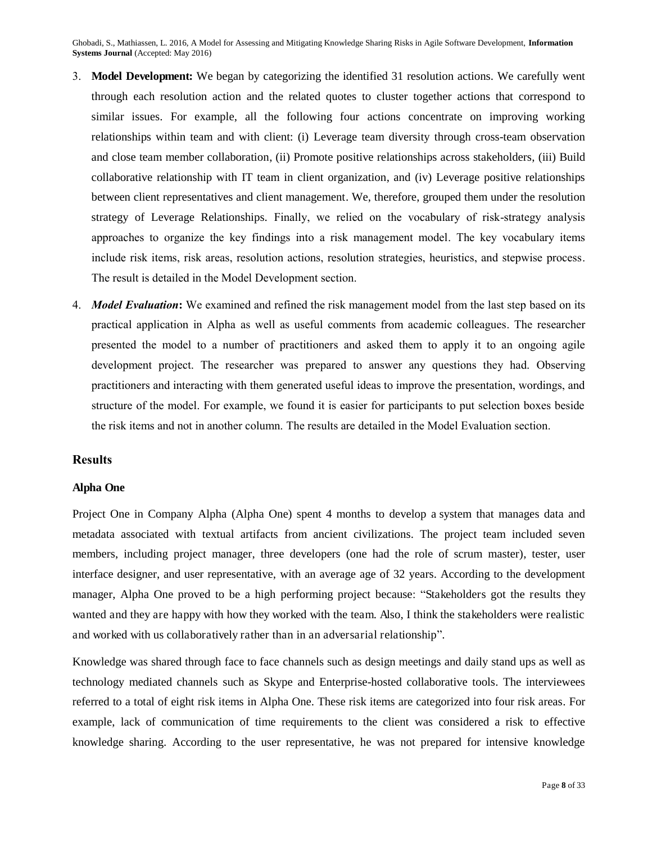- 3. **Model Development:** We began by categorizing the identified 31 resolution actions. We carefully went through each resolution action and the related quotes to cluster together actions that correspond to similar issues. For example, all the following four actions concentrate on improving working relationships within team and with client: (i) Leverage team diversity through cross-team observation and close team member collaboration, (ii) Promote positive relationships across stakeholders, (iii) Build collaborative relationship with IT team in client organization, and (iv) Leverage positive relationships between client representatives and client management. We, therefore, grouped them under the resolution strategy of Leverage Relationships. Finally, we relied on the vocabulary of risk-strategy analysis approaches to organize the key findings into a risk management model. The key vocabulary items include risk items, risk areas, resolution actions, resolution strategies, heuristics, and stepwise process. The result is detailed in the Model Development section.
- 4. *Model Evaluation***:** We examined and refined the risk management model from the last step based on its practical application in Alpha as well as useful comments from academic colleagues. The researcher presented the model to a number of practitioners and asked them to apply it to an ongoing agile development project. The researcher was prepared to answer any questions they had. Observing practitioners and interacting with them generated useful ideas to improve the presentation, wordings, and structure of the model. For example, we found it is easier for participants to put selection boxes beside the risk items and not in another column. The results are detailed in the Model Evaluation section.

#### **Results**

#### **Alpha One**

Project One in Company Alpha (Alpha One) spent 4 months to develop a system that manages data and metadata associated with textual artifacts from ancient civilizations. The project team included seven members, including project manager, three developers (one had the role of scrum master), tester, user interface designer, and user representative, with an average age of 32 years. According to the development manager, Alpha One proved to be a high performing project because: "Stakeholders got the results they wanted and they are happy with how they worked with the team. Also, I think the stakeholders were realistic and worked with us collaboratively rather than in an adversarial relationship".

Knowledge was shared through face to face channels such as design meetings and daily stand ups as well as technology mediated channels such as Skype and Enterprise-hosted collaborative tools. The interviewees referred to a total of eight risk items in Alpha One. These risk items are categorized into four risk areas. For example, lack of communication of time requirements to the client was considered a risk to effective knowledge sharing. According to the user representative, he was not prepared for intensive knowledge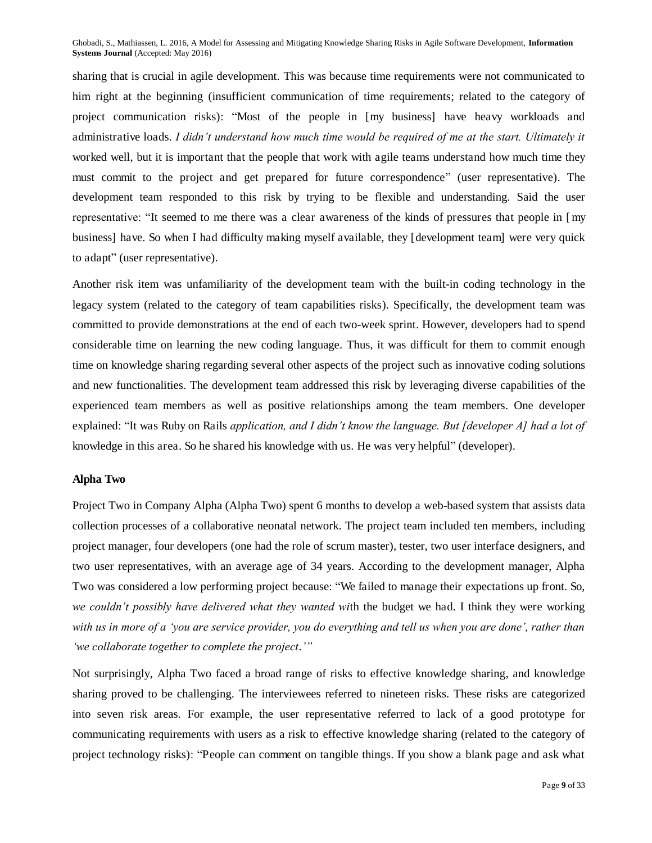sharing that is crucial in agile development. This was because time requirements were not communicated to him right at the beginning (insufficient communication of time requirements; related to the category of project communication risks): "Most of the people in [my business] have heavy workloads and administrative loads. *I didn't understand how much time would be required of me at the start. Ultimately it*  worked well, but it is important that the people that work with agile teams understand how much time they must commit to the project and get prepared for future correspondence" (user representative). The development team responded to this risk by trying to be flexible and understanding. Said the user representative: "It seemed to me there was a clear awareness of the kinds of pressures that people in [my business] have. So when I had difficulty making myself available, they [development team] were very quick to adapt" (user representative).

Another risk item was unfamiliarity of the development team with the built-in coding technology in the legacy system (related to the category of team capabilities risks). Specifically, the development team was committed to provide demonstrations at the end of each two-week sprint. However, developers had to spend considerable time on learning the new coding language. Thus, it was difficult for them to commit enough time on knowledge sharing regarding several other aspects of the project such as innovative coding solutions and new functionalities. The development team addressed this risk by leveraging diverse capabilities of the experienced team members as well as positive relationships among the team members. One developer explained: "It was Ruby on Rails *application, and I didn't know the language. But [developer A] had a lot of*  knowledge in this area. So he shared his knowledge with us. He was very helpful" (developer).

#### **Alpha Two**

Project Two in Company Alpha (Alpha Two) spent 6 months to develop a web-based system that assists data collection processes of a collaborative neonatal network. The project team included ten members, including project manager, four developers (one had the role of scrum master), tester, two user interface designers, and two user representatives, with an average age of 34 years. According to the development manager, Alpha Two was considered a low performing project because: "We failed to manage their expectations up front. So, *we couldn't possibly have delivered what they wanted wi*th the budget we had. I think they were working *with us in more of a 'you are service provider, you do everything and tell us when you are done', rather than 'we collaborate together to complete the project*.*'"*

Not surprisingly, Alpha Two faced a broad range of risks to effective knowledge sharing, and knowledge sharing proved to be challenging. The interviewees referred to nineteen risks. These risks are categorized into seven risk areas. For example, the user representative referred to lack of a good prototype for communicating requirements with users as a risk to effective knowledge sharing (related to the category of project technology risks): "People can comment on tangible things. If you show a blank page and ask what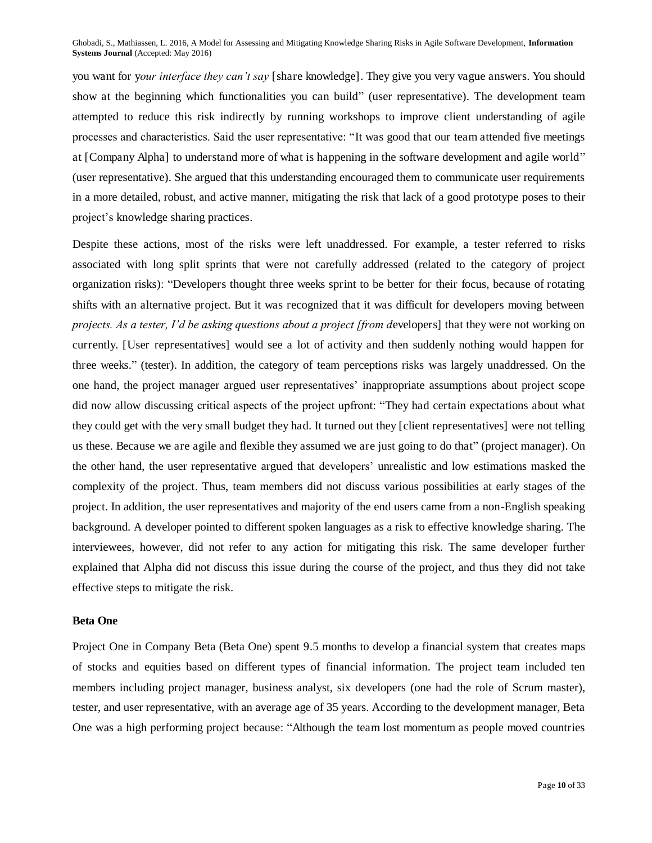you want for y*our interface they can't say* [share knowledge]. They give you very vague answers. You should show at the beginning which functionalities you can build" (user representative). The development team attempted to reduce this risk indirectly by running workshops to improve client understanding of agile processes and characteristics. Said the user representative: "It was good that our team attended five meetings at [Company Alpha] to understand more of what is happening in the software development and agile world" (user representative). She argued that this understanding encouraged them to communicate user requirements in a more detailed, robust, and active manner, mitigating the risk that lack of a good prototype poses to their project's knowledge sharing practices.

Despite these actions, most of the risks were left unaddressed. For example, a tester referred to risks associated with long split sprints that were not carefully addressed (related to the category of project organization risks): "Developers thought three weeks sprint to be better for their focus, because of rotating shifts with an alternative project. But it was recognized that it was difficult for developers moving between *projects. As a tester, I'd be asking questions about a project [from d*evelopers] that they were not working on currently. [User representatives] would see a lot of activity and then suddenly nothing would happen for three weeks." (tester). In addition, the category of team perceptions risks was largely unaddressed. On the one hand, the project manager argued user representatives' inappropriate assumptions about project scope did now allow discussing critical aspects of the project upfront: "They had certain expectations about what they could get with the very small budget they had. It turned out they [client representatives] were not telling us these. Because we are agile and flexible they assumed we are just going to do that" (project manager). On the other hand, the user representative argued that developers' unrealistic and low estimations masked the complexity of the project. Thus, team members did not discuss various possibilities at early stages of the project. In addition, the user representatives and majority of the end users came from a non-English speaking background. A developer pointed to different spoken languages as a risk to effective knowledge sharing. The interviewees, however, did not refer to any action for mitigating this risk. The same developer further explained that Alpha did not discuss this issue during the course of the project, and thus they did not take effective steps to mitigate the risk.

#### **Beta One**

Project One in Company Beta (Beta One) spent 9.5 months to develop a financial system that creates maps of stocks and equities based on different types of financial information. The project team included ten members including project manager, business analyst, six developers (one had the role of Scrum master), tester, and user representative, with an average age of 35 years. According to the development manager, Beta One was a high performing project because: "Although the team lost momentum as people moved countries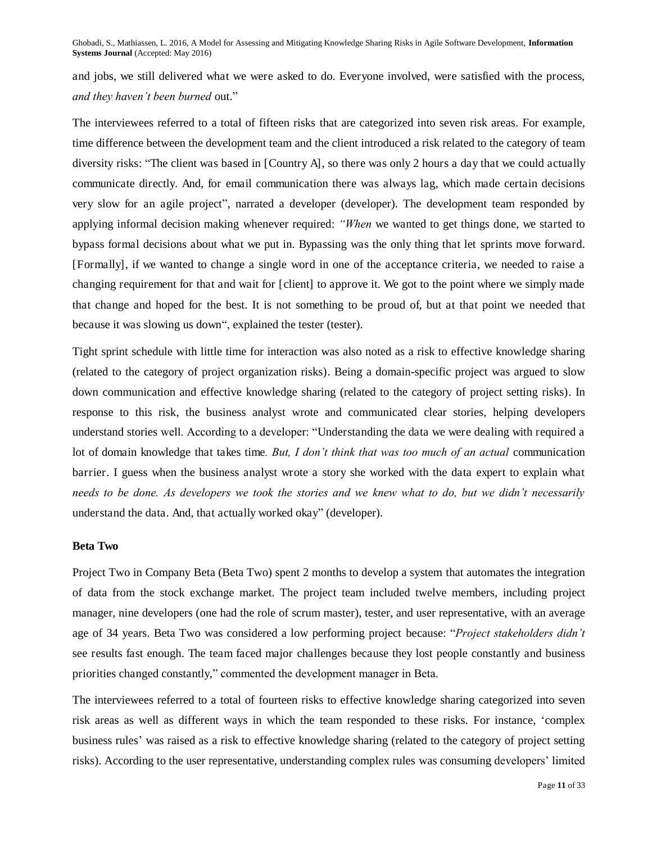and jobs, we still delivered what we were asked to do. Everyone involved, were satisfied with the process, *and they haven't been burned* out."

The interviewees referred to a total of fifteen risks that are categorized into seven risk areas. For example, time difference between the development team and the client introduced a risk related to the category of team diversity risks: "The client was based in [Country A], so there was only 2 hours a day that we could actually communicate directly. And, for email communication there was always lag, which made certain decisions very slow for an agile project", narrated a developer (developer). The development team responded by applying informal decision making whenever required: *"When* we wanted to get things done, we started to bypass formal decisions about what we put in. Bypassing was the only thing that let sprints move forward. [Formally], if we wanted to change a single word in one of the acceptance criteria, we needed to raise a changing requirement for that and wait for [client] to approve it. We got to the point where we simply made that change and hoped for the best. It is not something to be proud of, but at that point we needed that because it was slowing us down", explained the tester (tester).

Tight sprint schedule with little time for interaction was also noted as a risk to effective knowledge sharing (related to the category of project organization risks). Being a domain-specific project was argued to slow down communication and effective knowledge sharing (related to the category of project setting risks). In response to this risk, the business analyst wrote and communicated clear stories, helping developers understand stories well. According to a developer: "Understanding the data we were dealing with required a lot of domain knowledge that takes time*. But, I don't think that was too much of an actual* communication barrier. I guess when the business analyst wrote a story she worked with the data expert to explain what *needs to be done. As developers we took the stories and we knew what to do, but we didn't necessarily*  understand the data. And, that actually worked okay" (developer).

#### **Beta Two**

Project Two in Company Beta (Beta Two) spent 2 months to develop a system that automates the integration of data from the stock exchange market. The project team included twelve members, including project manager, nine developers (one had the role of scrum master), tester, and user representative, with an average age of 34 years. Beta Two was considered a low performing project because: "*Project stakeholders didn't*  see results fast enough. The team faced major challenges because they lost people constantly and business priorities changed constantly," commented the development manager in Beta.

The interviewees referred to a total of fourteen risks to effective knowledge sharing categorized into seven risk areas as well as different ways in which the team responded to these risks. For instance, 'complex business rules' was raised as a risk to effective knowledge sharing (related to the category of project setting risks). According to the user representative, understanding complex rules was consuming developers' limited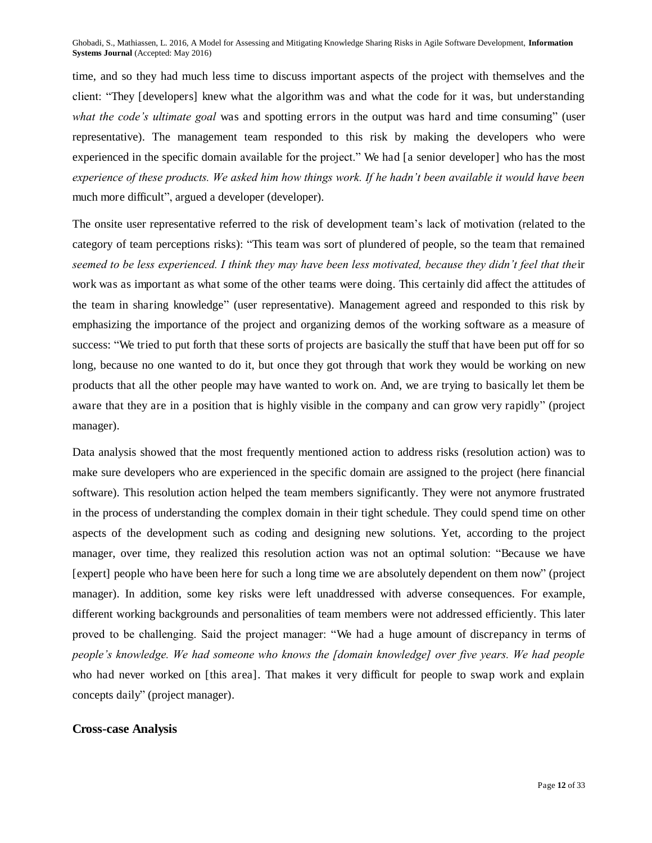time, and so they had much less time to discuss important aspects of the project with themselves and the client: "They [developers] knew what the algorithm was and what the code for it was, but understanding *what the code's ultimate goal* was and spotting errors in the output was hard and time consuming" (user representative). The management team responded to this risk by making the developers who were experienced in the specific domain available for the project." We had [a senior developer] who has the most *experience of these products. We asked him how things work. If he hadn't been available it would have been*  much more difficult", argued a developer (developer).

The onsite user representative referred to the risk of development team's lack of motivation (related to the category of team perceptions risks): "This team was sort of plundered of people, so the team that remained *seemed to be less experienced. I think they may have been less motivated, because they didn't feel that the*ir work was as important as what some of the other teams were doing. This certainly did affect the attitudes of the team in sharing knowledge" (user representative). Management agreed and responded to this risk by emphasizing the importance of the project and organizing demos of the working software as a measure of success: "We tried to put forth that these sorts of projects are basically the stuff that have been put off for so long, because no one wanted to do it, but once they got through that work they would be working on new products that all the other people may have wanted to work on. And, we are trying to basically let them be aware that they are in a position that is highly visible in the company and can grow very rapidly" (project manager).

Data analysis showed that the most frequently mentioned action to address risks (resolution action) was to make sure developers who are experienced in the specific domain are assigned to the project (here financial software). This resolution action helped the team members significantly. They were not anymore frustrated in the process of understanding the complex domain in their tight schedule. They could spend time on other aspects of the development such as coding and designing new solutions. Yet, according to the project manager, over time, they realized this resolution action was not an optimal solution: "Because we have [expert] people who have been here for such a long time we are absolutely dependent on them now" (project manager). In addition, some key risks were left unaddressed with adverse consequences. For example, different working backgrounds and personalities of team members were not addressed efficiently. This later proved to be challenging. Said the project manager: "We had a huge amount of discrepancy in terms of *people's knowledge. We had someone who knows the [domain knowledge] over five years. We had people*  who had never worked on [this area]. That makes it very difficult for people to swap work and explain concepts daily" (project manager).

#### **Cross-case Analysis**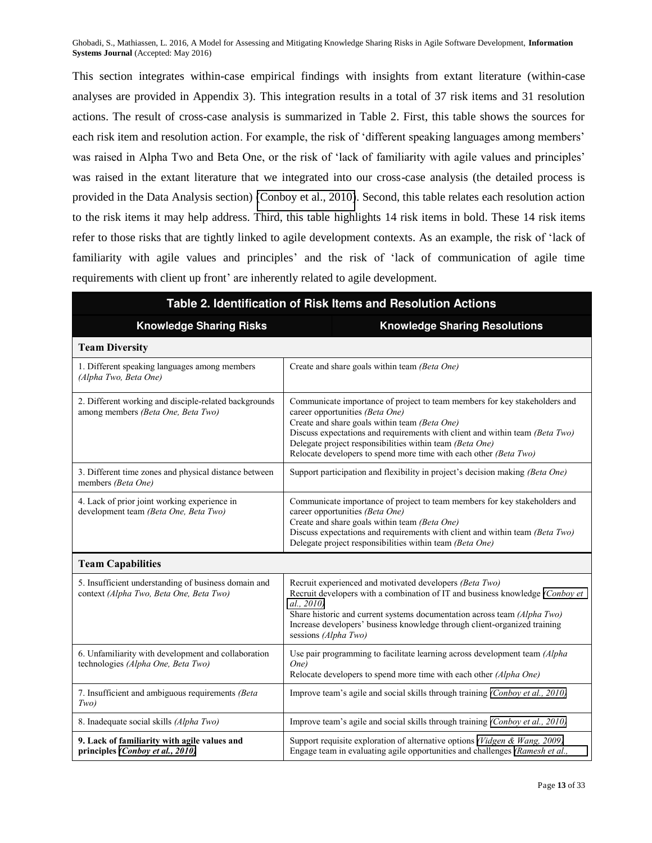This section integrates within-case empirical findings with insights from extant literature (within-case analyses are provided in Appendix 3). This integration results in a total of 37 risk items and 31 resolution actions. The result of cross-case analysis is summarized in Table 2. First, this table shows the sources for each risk item and resolution action. For example, the risk of 'different speaking languages among members' was raised in Alpha Two and Beta One, or the risk of 'lack of familiarity with agile values and principles' was raised in the extant literature that we integrated into our cross-case analysis (the detailed process is provided in the Data Analysis section) [\(Conboy et al., 2010\)](#page-26-3). Second, this table relates each resolution action to the risk items it may help address. Third, this table highlights 14 risk items in bold. These 14 risk items refer to those risks that are tightly linked to agile development contexts. As an example, the risk of 'lack of familiarity with agile values and principles' and the risk of 'lack of communication of agile time requirements with client up front' are inherently related to agile development.

| Table 2. Identification of Risk Items and Resolution Actions                                    |                                                                                                                                                                                                                                                                                                                                                                                 |  |  |
|-------------------------------------------------------------------------------------------------|---------------------------------------------------------------------------------------------------------------------------------------------------------------------------------------------------------------------------------------------------------------------------------------------------------------------------------------------------------------------------------|--|--|
| <b>Knowledge Sharing Risks</b>                                                                  | <b>Knowledge Sharing Resolutions</b>                                                                                                                                                                                                                                                                                                                                            |  |  |
| <b>Team Diversity</b>                                                                           |                                                                                                                                                                                                                                                                                                                                                                                 |  |  |
| 1. Different speaking languages among members<br>(Alpha Two, Beta One)                          | Create and share goals within team (Beta One)                                                                                                                                                                                                                                                                                                                                   |  |  |
| 2. Different working and disciple-related backgrounds<br>among members (Beta One, Beta Two)     | Communicate importance of project to team members for key stakeholders and<br>career opportunities (Beta One)<br>Create and share goals within team (Beta One)<br>Discuss expectations and requirements with client and within team (Beta Two)<br>Delegate project responsibilities within team (Beta One)<br>Relocate developers to spend more time with each other (Beta Two) |  |  |
| 3. Different time zones and physical distance between<br>members (Beta One)                     | Support participation and flexibility in project's decision making (Beta One)                                                                                                                                                                                                                                                                                                   |  |  |
| 4. Lack of prior joint working experience in<br>development team (Beta One, Beta Two)           | Communicate importance of project to team members for key stakeholders and<br>career opportunities (Beta One)<br>Create and share goals within team (Beta One)<br>Discuss expectations and requirements with client and within team (Beta Two)<br>Delegate project responsibilities within team (Beta One)                                                                      |  |  |
| <b>Team Capabilities</b>                                                                        |                                                                                                                                                                                                                                                                                                                                                                                 |  |  |
| 5. Insufficient understanding of business domain and<br>context (Alpha Two, Beta One, Beta Two) | Recruit experienced and motivated developers (Beta Two)<br>Recruit developers with a combination of IT and business knowledge (Conboy et<br>al., 2010)<br>Share historic and current systems documentation across team (Alpha Two)<br>Increase developers' business knowledge through client-organized training<br>sessions (Alpha Two)                                         |  |  |
| 6. Unfamiliarity with development and collaboration<br>technologies (Alpha One, Beta Two)       | Use pair programming to facilitate learning across development team (Alpha<br>One)<br>Relocate developers to spend more time with each other (Alpha One)                                                                                                                                                                                                                        |  |  |
| 7. Insufficient and ambiguous requirements (Beta<br>Two)                                        | Improve team's agile and social skills through training <i>(Conboy et al., 2010)</i>                                                                                                                                                                                                                                                                                            |  |  |
| 8. Inadequate social skills (Alpha Two)                                                         | Improve team's agile and social skills through training (Conboy et al., 2010)                                                                                                                                                                                                                                                                                                   |  |  |
| 9. Lack of familiarity with agile values and<br>principles (Conboy et al., 2010)                | Support requisite exploration of alternative options (Vidgen & Wang, 2009)<br>Engage team in evaluating agile opportunities and challenges (Ramesh et al.,                                                                                                                                                                                                                      |  |  |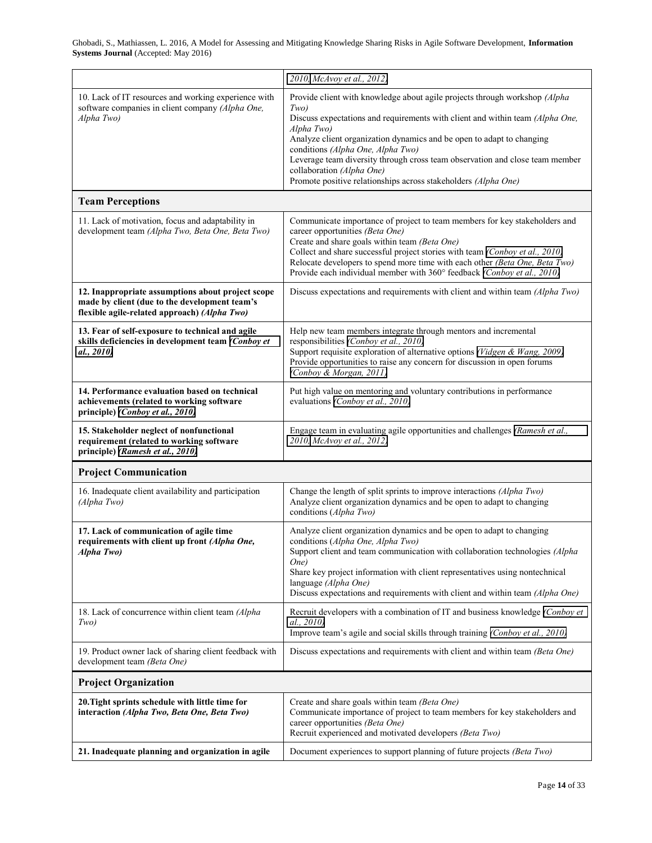|                                                                                                                                                    | 2010, McAvoy et al., 2012)                                                                                                                                                                                                                                                                                                                                                                                                                                                     |
|----------------------------------------------------------------------------------------------------------------------------------------------------|--------------------------------------------------------------------------------------------------------------------------------------------------------------------------------------------------------------------------------------------------------------------------------------------------------------------------------------------------------------------------------------------------------------------------------------------------------------------------------|
| 10. Lack of IT resources and working experience with<br>software companies in client company (Alpha One,<br>Alpha Two)                             | Provide client with knowledge about agile projects through workshop (Alpha<br>Two)<br>Discuss expectations and requirements with client and within team (Alpha One,<br>Alpha Two)<br>Analyze client organization dynamics and be open to adapt to changing<br>conditions (Alpha One, Alpha Two)<br>Leverage team diversity through cross team observation and close team member<br>collaboration (Alpha One)<br>Promote positive relationships across stakeholders (Alpha One) |
| <b>Team Perceptions</b>                                                                                                                            |                                                                                                                                                                                                                                                                                                                                                                                                                                                                                |
| 11. Lack of motivation, focus and adaptability in<br>development team (Alpha Two, Beta One, Beta Two)                                              | Communicate importance of project to team members for key stakeholders and<br>career opportunities (Beta One)<br>Create and share goals within team (Beta One)<br>Collect and share successful project stories with team (Conboy et al., 2010)<br>Relocate developers to spend more time with each other (Beta One, Beta Two)<br>Provide each individual member with 360° feedback (Conboy et al., 2010)                                                                       |
| 12. Inappropriate assumptions about project scope<br>made by client (due to the development team's<br>flexible agile-related approach) (Alpha Two) | Discuss expectations and requirements with client and within team (Alpha Two)                                                                                                                                                                                                                                                                                                                                                                                                  |
| 13. Fear of self-exposure to technical and agile<br>skills deficiencies in development team (Conboy et<br>al., 2010)                               | Help new team members integrate through mentors and incremental<br>responsibilities (Conboy et al., 2010)<br>Support requisite exploration of alternative options (Vidgen & Wang, 2009)<br>Provide opportunities to raise any concern for discussion in open forums<br>(Conboy & Morgan, 2011)                                                                                                                                                                                 |
| 14. Performance evaluation based on technical<br>achievements (related to working software<br>principle) (Conboy et al., 2010)                     | Put high value on mentoring and voluntary contributions in performance<br>evaluations (Conboy et al., 2010)                                                                                                                                                                                                                                                                                                                                                                    |
| 15. Stakeholder neglect of nonfunctional<br>requirement (related to working software<br>principle) (Ramesh et al., 2010)                           | Engage team in evaluating agile opportunities and challenges (Ramesh et al.,<br>2010, McAvoy et al., 2012)                                                                                                                                                                                                                                                                                                                                                                     |
| <b>Project Communication</b>                                                                                                                       |                                                                                                                                                                                                                                                                                                                                                                                                                                                                                |
| 16. Inadequate client availability and participation<br>(Alpha Two)                                                                                | Change the length of split sprints to improve interactions (Alpha Two)<br>Analyze client organization dynamics and be open to adapt to changing<br>conditions (Alpha Two)                                                                                                                                                                                                                                                                                                      |
| 17. Lack of communication of agile time<br>requirements with client up front (Alpha One,<br>Alpha Two)                                             | Analyze client organization dynamics and be open to adapt to changing<br>conditions (Alpha One, Alpha Two)<br>Support client and team communication with collaboration technologies (Alpha<br>One)<br>Share key project information with client representatives using nontechnical<br>language (Alpha One)<br>Discuss expectations and requirements with client and within team (Alpha One)                                                                                    |
| 18. Lack of concurrence within client team (Alpha<br>Two)                                                                                          | Recruit developers with a combination of IT and business knowledge (Conboy et<br>al., 2010)<br>Improve team's agile and social skills through training (Conboy et al., 2010)                                                                                                                                                                                                                                                                                                   |
| 19. Product owner lack of sharing client feedback with<br>development team (Beta One)                                                              | Discuss expectations and requirements with client and within team (Beta One)                                                                                                                                                                                                                                                                                                                                                                                                   |
| <b>Project Organization</b>                                                                                                                        |                                                                                                                                                                                                                                                                                                                                                                                                                                                                                |
| 20. Tight sprints schedule with little time for<br>interaction (Alpha Two, Beta One, Beta Two)                                                     | Create and share goals within team (Beta One)<br>Communicate importance of project to team members for key stakeholders and<br>career opportunities (Beta One)<br>Recruit experienced and motivated developers (Beta Two)                                                                                                                                                                                                                                                      |
| 21. Inadequate planning and organization in agile                                                                                                  | Document experiences to support planning of future projects (Beta Two)                                                                                                                                                                                                                                                                                                                                                                                                         |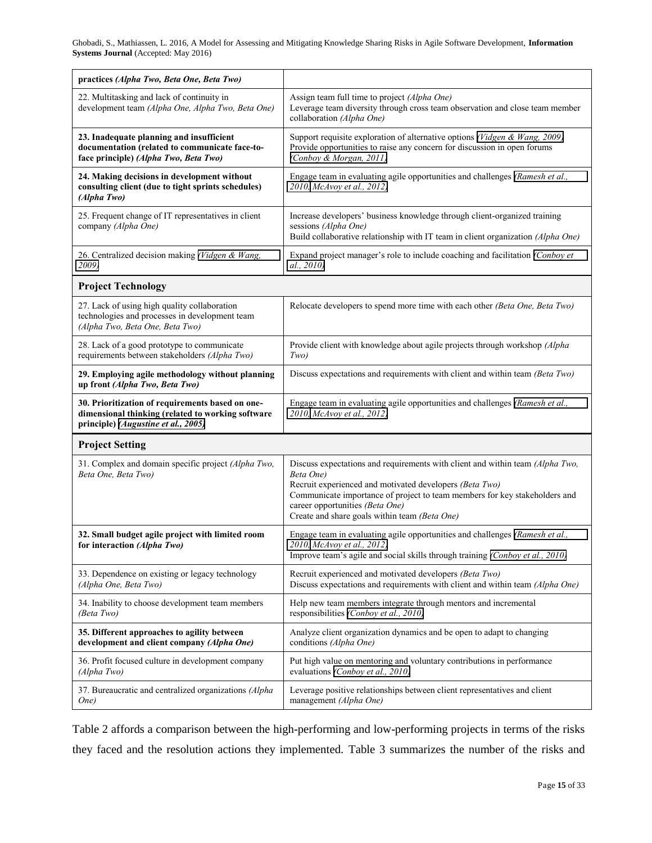| practices (Alpha Two, Beta One, Beta Two)                                                                                                    |                                                                                                                                                                                                                                                                                                                         |
|----------------------------------------------------------------------------------------------------------------------------------------------|-------------------------------------------------------------------------------------------------------------------------------------------------------------------------------------------------------------------------------------------------------------------------------------------------------------------------|
| 22. Multitasking and lack of continuity in<br>development team (Alpha One, Alpha Two, Beta One)                                              | Assign team full time to project (Alpha One)<br>Leverage team diversity through cross team observation and close team member<br>collaboration (Alpha One)                                                                                                                                                               |
| 23. Inadequate planning and insufficient<br>documentation (related to communicate face-to-<br>face principle) (Alpha Two, Beta Two)          | Support requisite exploration of alternative options (Vidgen & Wang, 2009)<br>Provide opportunities to raise any concern for discussion in open forums<br>(Conboy & Morgan, 2011)                                                                                                                                       |
| 24. Making decisions in development without<br>consulting client (due to tight sprints schedules)<br>(Alpha Two)                             | Engage team in evaluating agile opportunities and challenges (Ramesh et al.,<br>2010, McAvoy et al., 2012)                                                                                                                                                                                                              |
| 25. Frequent change of IT representatives in client<br>company (Alpha One)                                                                   | Increase developers' business knowledge through client-organized training<br>sessions (Alpha One)<br>Build collaborative relationship with IT team in client organization (Alpha One)                                                                                                                                   |
| 26. Centralized decision making (Vidgen & Wang,<br>2009)                                                                                     | Expand project manager's role to include coaching and facilitation (Conboy et<br>al., 2010)                                                                                                                                                                                                                             |
| <b>Project Technology</b>                                                                                                                    |                                                                                                                                                                                                                                                                                                                         |
| 27. Lack of using high quality collaboration<br>technologies and processes in development team<br>(Alpha Two, Beta One, Beta Two)            | Relocate developers to spend more time with each other (Beta One, Beta Two)                                                                                                                                                                                                                                             |
| 28. Lack of a good prototype to communicate<br>requirements between stakeholders (Alpha Two)                                                 | Provide client with knowledge about agile projects through workshop (Alpha<br>Two)                                                                                                                                                                                                                                      |
| 29. Employing agile methodology without planning<br>up front (Alpha Two, Beta Two)                                                           | Discuss expectations and requirements with client and within team (Beta Two)                                                                                                                                                                                                                                            |
| 30. Prioritization of requirements based on one-<br>dimensional thinking (related to working software<br>principle) (Augustine et al., 2005) | Engage team in evaluating agile opportunities and challenges (Ramesh et al.,<br>2010, McAvoy et al., 2012)                                                                                                                                                                                                              |
| <b>Project Setting</b>                                                                                                                       |                                                                                                                                                                                                                                                                                                                         |
| 31. Complex and domain specific project (Alpha Two,<br>Beta One, Beta Two)                                                                   | Discuss expectations and requirements with client and within team (Alpha Two,<br>Beta One)<br>Recruit experienced and motivated developers (Beta Two)<br>Communicate importance of project to team members for key stakeholders and<br>career opportunities (Beta One)<br>Create and share goals within team (Beta One) |
| 32. Small budget agile project with limited room<br>for interaction (Alpha Two)                                                              | Engage team in evaluating agile opportunities and challenges (Ramesh et al.,<br>2010, McAvoy et al., 2012)<br>Improve team's agile and social skills through training (Conboy et al., 2010)                                                                                                                             |
| 33. Dependence on existing or legacy technology<br>(Alpha One, Beta Two)                                                                     | Recruit experienced and motivated developers (Beta Two)<br>Discuss expectations and requirements with client and within team (Alpha One)                                                                                                                                                                                |
| 34. Inability to choose development team members<br>(Beta Two)                                                                               | Help new team members integrate through mentors and incremental<br>responsibilities (Conboy et al., 2010)                                                                                                                                                                                                               |
| 35. Different approaches to agility between<br>development and client company (Alpha One)                                                    | Analyze client organization dynamics and be open to adapt to changing<br>conditions (Alpha One)                                                                                                                                                                                                                         |
| 36. Profit focused culture in development company<br>(Alpha Two)                                                                             | Put high value on mentoring and voluntary contributions in performance<br>evaluations (Conboy et al., 2010)                                                                                                                                                                                                             |
| 37. Bureaucratic and centralized organizations (Alpha<br>One)                                                                                | Leverage positive relationships between client representatives and client<br>management (Alpha One)                                                                                                                                                                                                                     |

Table 2 affords a comparison between the high-performing and low-performing projects in terms of the risks they faced and the resolution actions they implemented. Table 3 summarizes the number of the risks and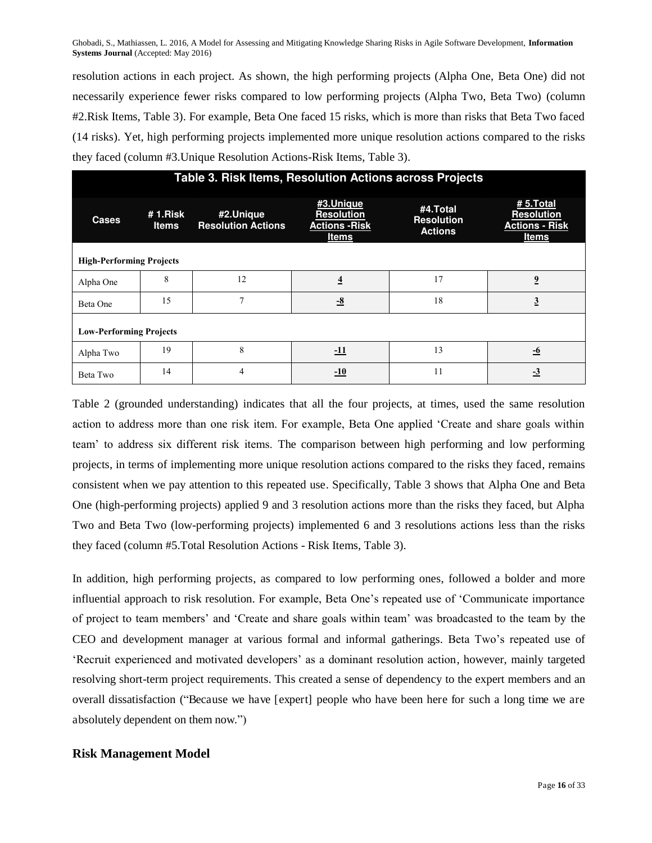resolution actions in each project. As shown, the high performing projects (Alpha One, Beta One) did not necessarily experience fewer risks compared to low performing projects (Alpha Two, Beta Two) (column #2.Risk Items, Table 3). For example, Beta One faced 15 risks, which is more than risks that Beta Two faced (14 risks). Yet, high performing projects implemented more unique resolution actions compared to the risks they faced (column #3.Unique Resolution Actions-Risk Items, Table 3).

| Table 3. Risk Items, Resolution Actions across Projects |                                 |                                        |                                                                         |                                                 |                                                                         |  |
|---------------------------------------------------------|---------------------------------|----------------------------------------|-------------------------------------------------------------------------|-------------------------------------------------|-------------------------------------------------------------------------|--|
| <b>Cases</b>                                            | # 1.Risk<br><b>Items</b>        | #2.Unique<br><b>Resolution Actions</b> | #3.Unique<br><b>Resolution</b><br><b>Actions - Risk</b><br><u>Items</u> | #4.Total<br><b>Resolution</b><br><b>Actions</b> | # 5.Total<br><b>Resolution</b><br><b>Actions - Risk</b><br><b>Items</b> |  |
|                                                         | <b>High-Performing Projects</b> |                                        |                                                                         |                                                 |                                                                         |  |
| Alpha One                                               | 8                               | 12                                     | 4                                                                       | 17                                              | $\overline{\mathbf{2}}$                                                 |  |
| Beta One                                                | 15                              | $\overline{7}$                         | $-8$                                                                    | 18                                              | $\overline{3}$                                                          |  |
| <b>Low-Performing Projects</b>                          |                                 |                                        |                                                                         |                                                 |                                                                         |  |
| Alpha Two                                               | 19                              | 8                                      | $-11$                                                                   | 13                                              | $-6$                                                                    |  |
| Beta Two                                                | 14                              | 4                                      | $-10$                                                                   | 11                                              | $\overline{\mathbf{3}}$                                                 |  |

Table 2 (grounded understanding) indicates that all the four projects, at times, used the same resolution action to address more than one risk item. For example, Beta One applied 'Create and share goals within team' to address six different risk items. The comparison between high performing and low performing projects, in terms of implementing more unique resolution actions compared to the risks they faced, remains consistent when we pay attention to this repeated use. Specifically, Table 3 shows that Alpha One and Beta One (high-performing projects) applied 9 and 3 resolution actions more than the risks they faced, but Alpha Two and Beta Two (low-performing projects) implemented 6 and 3 resolutions actions less than the risks they faced (column #5.Total Resolution Actions - Risk Items, Table 3).

In addition, high performing projects, as compared to low performing ones, followed a bolder and more influential approach to risk resolution. For example, Beta One's repeated use of 'Communicate importance of project to team members' and 'Create and share goals within team' was broadcasted to the team by the CEO and development manager at various formal and informal gatherings. Beta Two's repeated use of 'Recruit experienced and motivated developers' as a dominant resolution action, however, mainly targeted resolving short-term project requirements. This created a sense of dependency to the expert members and an overall dissatisfaction ("Because we have [expert] people who have been here for such a long time we are absolutely dependent on them now.")

### **Risk Management Model**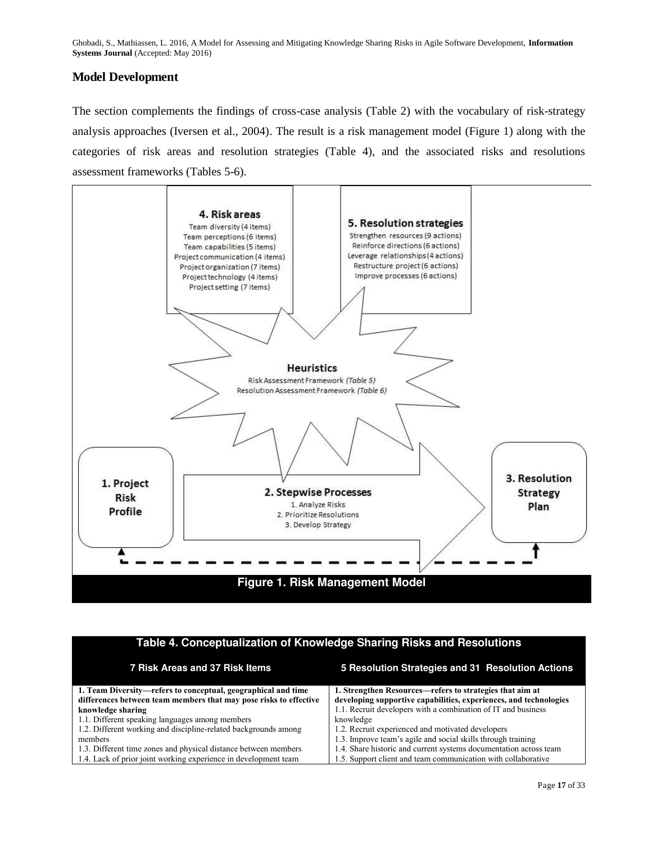#### **Model Development**

The section complements the findings of cross-case analysis (Table 2) with the vocabulary of risk-strategy analysis approaches (Iversen et al., 2004). The result is a risk management model (Figure 1) along with the categories of risk areas and resolution strategies (Table 4), and the associated risks and resolutions assessment frameworks (Tables 5-6).



| Table 4. Conceptualization of Knowledge Sharing Risks and Resolutions                                                                                                                            |                                                                                                                                                                                                                                                                      |  |  |
|--------------------------------------------------------------------------------------------------------------------------------------------------------------------------------------------------|----------------------------------------------------------------------------------------------------------------------------------------------------------------------------------------------------------------------------------------------------------------------|--|--|
| 7 Risk Areas and 37 Risk Items                                                                                                                                                                   | 5 Resolution Strategies and 31 Resolution Actions                                                                                                                                                                                                                    |  |  |
| 1. Team Diversity-refers to conceptual, geographical and time<br>differences between team members that may pose risks to effective<br>knowledge sharing                                          | 1. Strengthen Resources—refers to strategies that aim at<br>developing supportive capabilities, experiences, and technologies<br>1.1. Recruit developers with a combination of IT and business                                                                       |  |  |
| 1.1. Different speaking languages among members<br>1.2. Different working and discipline-related backgrounds among<br>members<br>1.3. Different time zones and physical distance between members | knowledge<br>1.2. Recruit experienced and motivated developers<br>1.3. Improve team's agile and social skills through training<br>1.4. Share historic and current systems documentation across team<br>1.5. Support client and team communication with collaborative |  |  |
| 1.4. Lack of prior joint working experience in development team                                                                                                                                  |                                                                                                                                                                                                                                                                      |  |  |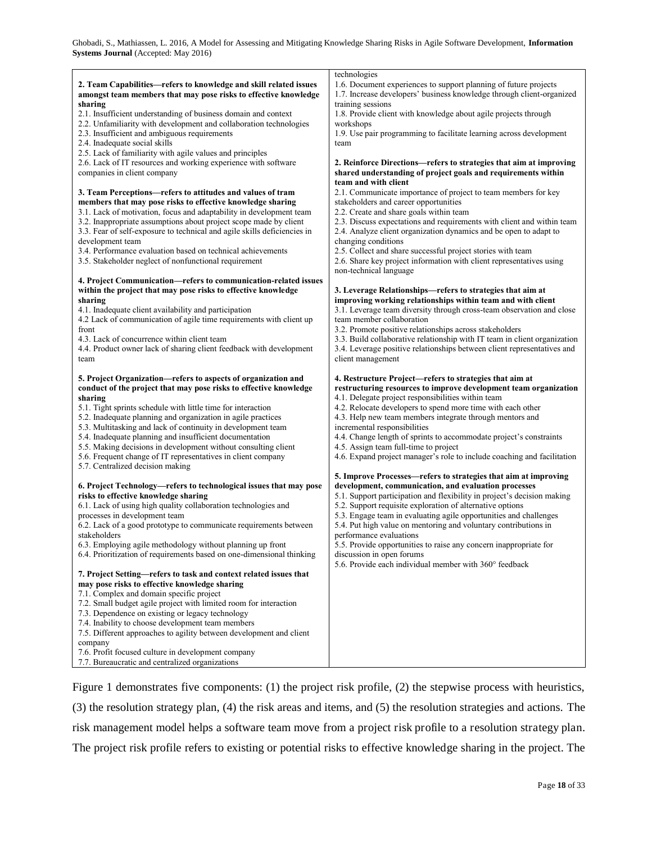|                                                                                                                                                                                                                                                                                                                                                                                                                                                                                                                                                                                | technologies                                                                                                                                                                                                                                                                                                                                                                                                                                                                                                                                                                                              |
|--------------------------------------------------------------------------------------------------------------------------------------------------------------------------------------------------------------------------------------------------------------------------------------------------------------------------------------------------------------------------------------------------------------------------------------------------------------------------------------------------------------------------------------------------------------------------------|-----------------------------------------------------------------------------------------------------------------------------------------------------------------------------------------------------------------------------------------------------------------------------------------------------------------------------------------------------------------------------------------------------------------------------------------------------------------------------------------------------------------------------------------------------------------------------------------------------------|
| 2. Team Capabilities—refers to knowledge and skill related issues                                                                                                                                                                                                                                                                                                                                                                                                                                                                                                              | 1.6. Document experiences to support planning of future projects                                                                                                                                                                                                                                                                                                                                                                                                                                                                                                                                          |
| amongst team members that may pose risks to effective knowledge                                                                                                                                                                                                                                                                                                                                                                                                                                                                                                                | 1.7. Increase developers' business knowledge through client-organized                                                                                                                                                                                                                                                                                                                                                                                                                                                                                                                                     |
| sharing                                                                                                                                                                                                                                                                                                                                                                                                                                                                                                                                                                        | training sessions                                                                                                                                                                                                                                                                                                                                                                                                                                                                                                                                                                                         |
| 2.1. Insufficient understanding of business domain and context                                                                                                                                                                                                                                                                                                                                                                                                                                                                                                                 | 1.8. Provide client with knowledge about agile projects through                                                                                                                                                                                                                                                                                                                                                                                                                                                                                                                                           |
| 2.2. Unfamiliarity with development and collaboration technologies                                                                                                                                                                                                                                                                                                                                                                                                                                                                                                             | workshops                                                                                                                                                                                                                                                                                                                                                                                                                                                                                                                                                                                                 |
| 2.3. Insufficient and ambiguous requirements                                                                                                                                                                                                                                                                                                                                                                                                                                                                                                                                   | 1.9. Use pair programming to facilitate learning across development                                                                                                                                                                                                                                                                                                                                                                                                                                                                                                                                       |
| 2.4. Inadequate social skills                                                                                                                                                                                                                                                                                                                                                                                                                                                                                                                                                  | team                                                                                                                                                                                                                                                                                                                                                                                                                                                                                                                                                                                                      |
| 2.5. Lack of familiarity with agile values and principles                                                                                                                                                                                                                                                                                                                                                                                                                                                                                                                      |                                                                                                                                                                                                                                                                                                                                                                                                                                                                                                                                                                                                           |
| 2.6. Lack of IT resources and working experience with software                                                                                                                                                                                                                                                                                                                                                                                                                                                                                                                 | 2. Reinforce Directions—refers to strategies that aim at improving                                                                                                                                                                                                                                                                                                                                                                                                                                                                                                                                        |
| companies in client company                                                                                                                                                                                                                                                                                                                                                                                                                                                                                                                                                    | shared understanding of project goals and requirements within                                                                                                                                                                                                                                                                                                                                                                                                                                                                                                                                             |
|                                                                                                                                                                                                                                                                                                                                                                                                                                                                                                                                                                                | team and with client                                                                                                                                                                                                                                                                                                                                                                                                                                                                                                                                                                                      |
| 3. Team Perceptions—refers to attitudes and values of tram                                                                                                                                                                                                                                                                                                                                                                                                                                                                                                                     | 2.1. Communicate importance of project to team members for key                                                                                                                                                                                                                                                                                                                                                                                                                                                                                                                                            |
| members that may pose risks to effective knowledge sharing                                                                                                                                                                                                                                                                                                                                                                                                                                                                                                                     | stakeholders and career opportunities                                                                                                                                                                                                                                                                                                                                                                                                                                                                                                                                                                     |
| 3.1. Lack of motivation, focus and adaptability in development team                                                                                                                                                                                                                                                                                                                                                                                                                                                                                                            | 2.2. Create and share goals within team                                                                                                                                                                                                                                                                                                                                                                                                                                                                                                                                                                   |
| 3.2. Inappropriate assumptions about project scope made by client                                                                                                                                                                                                                                                                                                                                                                                                                                                                                                              | 2.3. Discuss expectations and requirements with client and within team                                                                                                                                                                                                                                                                                                                                                                                                                                                                                                                                    |
| 3.3. Fear of self-exposure to technical and agile skills deficiencies in                                                                                                                                                                                                                                                                                                                                                                                                                                                                                                       | 2.4. Analyze client organization dynamics and be open to adapt to                                                                                                                                                                                                                                                                                                                                                                                                                                                                                                                                         |
| development team                                                                                                                                                                                                                                                                                                                                                                                                                                                                                                                                                               | changing conditions                                                                                                                                                                                                                                                                                                                                                                                                                                                                                                                                                                                       |
| 3.4. Performance evaluation based on technical achievements                                                                                                                                                                                                                                                                                                                                                                                                                                                                                                                    | 2.5. Collect and share successful project stories with team                                                                                                                                                                                                                                                                                                                                                                                                                                                                                                                                               |
| 3.5. Stakeholder neglect of nonfunctional requirement                                                                                                                                                                                                                                                                                                                                                                                                                                                                                                                          | 2.6. Share key project information with client representatives using                                                                                                                                                                                                                                                                                                                                                                                                                                                                                                                                      |
|                                                                                                                                                                                                                                                                                                                                                                                                                                                                                                                                                                                | non-technical language                                                                                                                                                                                                                                                                                                                                                                                                                                                                                                                                                                                    |
| 4. Project Communication—refers to communication-related issues                                                                                                                                                                                                                                                                                                                                                                                                                                                                                                                |                                                                                                                                                                                                                                                                                                                                                                                                                                                                                                                                                                                                           |
| within the project that may pose risks to effective knowledge                                                                                                                                                                                                                                                                                                                                                                                                                                                                                                                  | 3. Leverage Relationships—refers to strategies that aim at                                                                                                                                                                                                                                                                                                                                                                                                                                                                                                                                                |
| sharing                                                                                                                                                                                                                                                                                                                                                                                                                                                                                                                                                                        | improving working relationships within team and with client                                                                                                                                                                                                                                                                                                                                                                                                                                                                                                                                               |
| 4.1. Inadequate client availability and participation                                                                                                                                                                                                                                                                                                                                                                                                                                                                                                                          | 3.1. Leverage team diversity through cross-team observation and close                                                                                                                                                                                                                                                                                                                                                                                                                                                                                                                                     |
| 4.2 Lack of communication of agile time requirements with client up                                                                                                                                                                                                                                                                                                                                                                                                                                                                                                            | team member collaboration                                                                                                                                                                                                                                                                                                                                                                                                                                                                                                                                                                                 |
| front                                                                                                                                                                                                                                                                                                                                                                                                                                                                                                                                                                          | 3.2. Promote positive relationships across stakeholders                                                                                                                                                                                                                                                                                                                                                                                                                                                                                                                                                   |
| 4.3. Lack of concurrence within client team                                                                                                                                                                                                                                                                                                                                                                                                                                                                                                                                    | 3.3. Build collaborative relationship with IT team in client organization                                                                                                                                                                                                                                                                                                                                                                                                                                                                                                                                 |
| 4.4. Product owner lack of sharing client feedback with development                                                                                                                                                                                                                                                                                                                                                                                                                                                                                                            | 3.4. Leverage positive relationships between client representatives and                                                                                                                                                                                                                                                                                                                                                                                                                                                                                                                                   |
| team                                                                                                                                                                                                                                                                                                                                                                                                                                                                                                                                                                           | client management                                                                                                                                                                                                                                                                                                                                                                                                                                                                                                                                                                                         |
|                                                                                                                                                                                                                                                                                                                                                                                                                                                                                                                                                                                |                                                                                                                                                                                                                                                                                                                                                                                                                                                                                                                                                                                                           |
| 5. Project Organization-refers to aspects of organization and<br>conduct of the project that may pose risks to effective knowledge<br>sharing<br>5.1. Tight sprints schedule with little time for interaction<br>5.2. Inadequate planning and organization in agile practices<br>5.3. Multitasking and lack of continuity in development team<br>5.4. Inadequate planning and insufficient documentation<br>5.5. Making decisions in development without consulting client<br>5.6. Frequent change of IT representatives in client company<br>5.7. Centralized decision making | 4. Restructure Project—refers to strategies that aim at<br>restructuring resources to improve development team organization<br>4.1. Delegate project responsibilities within team<br>4.2. Relocate developers to spend more time with each other<br>4.3. Help new team members integrate through mentors and<br>incremental responsibilities<br>4.4. Change length of sprints to accommodate project's constraints<br>4.5. Assign team full-time to project<br>4.6. Expand project manager's role to include coaching and facilitation<br>5. Improve Processes—refers to strategies that aim at improving |
| 6. Project Technology—refers to technological issues that may pose                                                                                                                                                                                                                                                                                                                                                                                                                                                                                                             | development, communication, and evaluation processes                                                                                                                                                                                                                                                                                                                                                                                                                                                                                                                                                      |
| risks to effective knowledge sharing                                                                                                                                                                                                                                                                                                                                                                                                                                                                                                                                           | 5.1. Support participation and flexibility in project's decision making                                                                                                                                                                                                                                                                                                                                                                                                                                                                                                                                   |
| 6.1. Lack of using high quality collaboration technologies and                                                                                                                                                                                                                                                                                                                                                                                                                                                                                                                 | 5.2. Support requisite exploration of alternative options                                                                                                                                                                                                                                                                                                                                                                                                                                                                                                                                                 |
| processes in development team                                                                                                                                                                                                                                                                                                                                                                                                                                                                                                                                                  | 5.3. Engage team in evaluating agile opportunities and challenges                                                                                                                                                                                                                                                                                                                                                                                                                                                                                                                                         |
| 6.2. Lack of a good prototype to communicate requirements between                                                                                                                                                                                                                                                                                                                                                                                                                                                                                                              | 5.4. Put high value on mentoring and voluntary contributions in                                                                                                                                                                                                                                                                                                                                                                                                                                                                                                                                           |
| stakeholders                                                                                                                                                                                                                                                                                                                                                                                                                                                                                                                                                                   | performance evaluations                                                                                                                                                                                                                                                                                                                                                                                                                                                                                                                                                                                   |
| 6.3. Employing agile methodology without planning up front                                                                                                                                                                                                                                                                                                                                                                                                                                                                                                                     | 5.5. Provide opportunities to raise any concern inappropriate for                                                                                                                                                                                                                                                                                                                                                                                                                                                                                                                                         |
| 6.4. Prioritization of requirements based on one-dimensional thinking                                                                                                                                                                                                                                                                                                                                                                                                                                                                                                          | discussion in open forums                                                                                                                                                                                                                                                                                                                                                                                                                                                                                                                                                                                 |
|                                                                                                                                                                                                                                                                                                                                                                                                                                                                                                                                                                                | 5.6. Provide each individual member with 360° feedback                                                                                                                                                                                                                                                                                                                                                                                                                                                                                                                                                    |
| 7. Project Setting-refers to task and context related issues that<br>may pose risks to effective knowledge sharing                                                                                                                                                                                                                                                                                                                                                                                                                                                             |                                                                                                                                                                                                                                                                                                                                                                                                                                                                                                                                                                                                           |
| 7.1. Complex and domain specific project                                                                                                                                                                                                                                                                                                                                                                                                                                                                                                                                       |                                                                                                                                                                                                                                                                                                                                                                                                                                                                                                                                                                                                           |
| 7.2. Small budget agile project with limited room for interaction                                                                                                                                                                                                                                                                                                                                                                                                                                                                                                              |                                                                                                                                                                                                                                                                                                                                                                                                                                                                                                                                                                                                           |
| 7.3. Dependence on existing or legacy technology                                                                                                                                                                                                                                                                                                                                                                                                                                                                                                                               |                                                                                                                                                                                                                                                                                                                                                                                                                                                                                                                                                                                                           |
| 7.4. Inability to choose development team members                                                                                                                                                                                                                                                                                                                                                                                                                                                                                                                              |                                                                                                                                                                                                                                                                                                                                                                                                                                                                                                                                                                                                           |
| 7.5. Different approaches to agility between development and client                                                                                                                                                                                                                                                                                                                                                                                                                                                                                                            |                                                                                                                                                                                                                                                                                                                                                                                                                                                                                                                                                                                                           |
| company                                                                                                                                                                                                                                                                                                                                                                                                                                                                                                                                                                        |                                                                                                                                                                                                                                                                                                                                                                                                                                                                                                                                                                                                           |
| 7.6. Profit focused culture in development company<br>7.7. Bureaucratic and centralized organizations                                                                                                                                                                                                                                                                                                                                                                                                                                                                          |                                                                                                                                                                                                                                                                                                                                                                                                                                                                                                                                                                                                           |

Figure 1 demonstrates five components: (1) the project risk profile, (2) the stepwise process with heuristics, (3) the resolution strategy plan, (4) the risk areas and items, and (5) the resolution strategies and actions. The risk management model helps a software team move from a project risk profile to a resolution strategy plan. The project risk profile refers to existing or potential risks to effective knowledge sharing in the project. The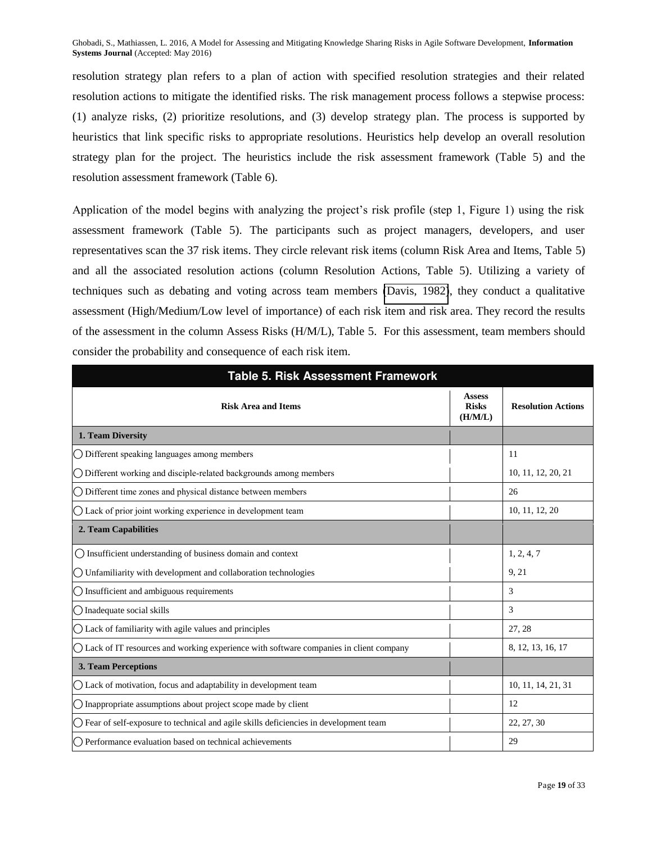resolution strategy plan refers to a plan of action with specified resolution strategies and their related resolution actions to mitigate the identified risks. The risk management process follows a stepwise process: (1) analyze risks, (2) prioritize resolutions, and (3) develop strategy plan. The process is supported by heuristics that link specific risks to appropriate resolutions. Heuristics help develop an overall resolution strategy plan for the project. The heuristics include the risk assessment framework (Table 5) and the resolution assessment framework (Table 6).

Application of the model begins with analyzing the project's risk profile (step 1, Figure 1) using the risk assessment framework (Table 5). The participants such as project managers, developers, and user representatives scan the 37 risk items. They circle relevant risk items (column Risk Area and Items, Table 5) and all the associated resolution actions (column Resolution Actions, Table 5). Utilizing a variety of techniques such as debating and voting across team members [\(Davis, 1982\)](#page-26-8), they conduct a qualitative assessment (High/Medium/Low level of importance) of each risk item and risk area. They record the results of the assessment in the column Assess Risks (H/M/L), Table 5. For this assessment, team members should consider the probability and consequence of each risk item.

| <b>Table 5. Risk Assessment Framework</b>                                              |                                          |                           |  |  |
|----------------------------------------------------------------------------------------|------------------------------------------|---------------------------|--|--|
| <b>Risk Area and Items</b>                                                             | <b>Assess</b><br><b>Risks</b><br>(H/M/L) | <b>Resolution Actions</b> |  |  |
| 1. Team Diversity                                                                      |                                          |                           |  |  |
| ◯ Different speaking languages among members                                           |                                          | 11                        |  |  |
| (a) Different working and disciple-related backgrounds among members                   |                                          | 10, 11, 12, 20, 21        |  |  |
| $\bigcirc$ Different time zones and physical distance between members                  |                                          | 26                        |  |  |
| $\bigcirc$ Lack of prior joint working experience in development team                  |                                          | 10, 11, 12, 20            |  |  |
| 2. Team Capabilities                                                                   |                                          |                           |  |  |
| () Insufficient understanding of business domain and context                           |                                          | 1, 2, 4, 7                |  |  |
| $\bigcirc$ Unfamiliarity with development and collaboration technologies               |                                          | 9,21                      |  |  |
| $\bigcap$ Insufficient and ambiguous requirements                                      |                                          | 3                         |  |  |
| ◯ Inadequate social skills                                                             |                                          | 3                         |  |  |
| (D Lack of familiarity with agile values and principles                                |                                          | 27, 28                    |  |  |
| (Lack of IT resources and working experience with software companies in client company |                                          | 8, 12, 13, 16, 17         |  |  |
| <b>3. Team Perceptions</b>                                                             |                                          |                           |  |  |
| $\bigcap$ Lack of motivation, focus and adaptability in development team               |                                          | 10, 11, 14, 21, 31        |  |  |
| $\bigcirc$ Inappropriate assumptions about project scope made by client                |                                          | 12                        |  |  |
| ○ Fear of self-exposure to technical and agile skills deficiencies in development team |                                          | 22, 27, 30                |  |  |
| O Performance evaluation based on technical achievements                               |                                          | 29                        |  |  |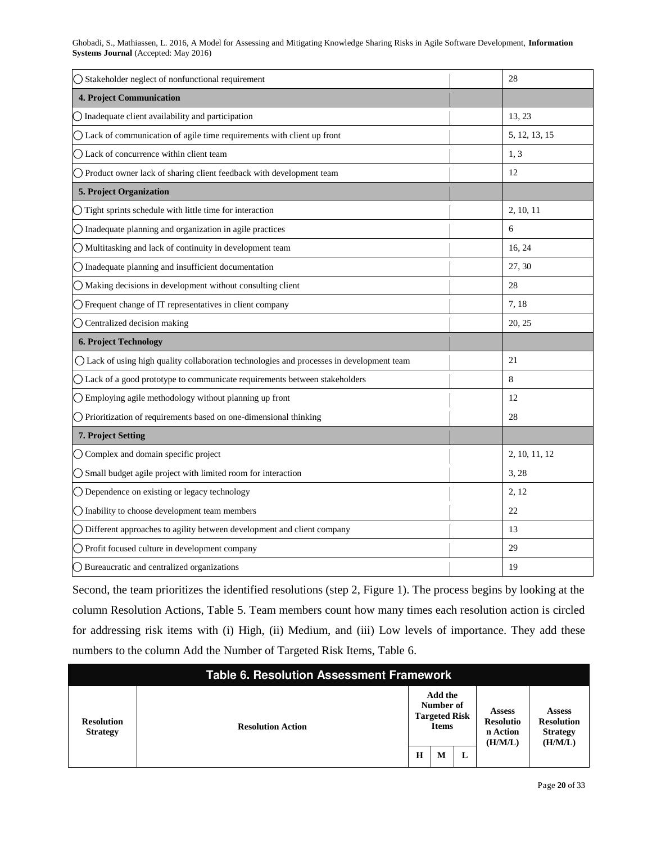| ◯ Stakeholder neglect of nonfunctional requirement                                        | 28            |
|-------------------------------------------------------------------------------------------|---------------|
| <b>4. Project Communication</b>                                                           |               |
| $\bigcirc$ Inadequate client availability and participation                               | 13, 23        |
| $\bigcirc$ Lack of communication of agile time requirements with client up front          | 5, 12, 13, 15 |
| ◯ Lack of concurrence within client team                                                  | 1, 3          |
| O Product owner lack of sharing client feedback with development team                     | 12            |
| 5. Project Organization                                                                   |               |
| $\bigcap$ Tight sprints schedule with little time for interaction                         | 2, 10, 11     |
| $\bigcirc$ Inadequate planning and organization in agile practices                        | 6             |
| O Multitasking and lack of continuity in development team                                 | 16, 24        |
| O Inadequate planning and insufficient documentation                                      | 27, 30        |
| $\bigcirc$ Making decisions in development without consulting client                      | 28            |
| O Frequent change of IT representatives in client company                                 | 7, 18         |
| $\bigcirc$ Centralized decision making                                                    | 20, 25        |
| 6. Project Technology                                                                     |               |
| O Lack of using high quality collaboration technologies and processes in development team | 21            |
| $\bigcap$ Lack of a good prototype to communicate requirements between stakeholders       | 8             |
| $\bigcirc$ Employing agile methodology without planning up front                          | 12            |
| O Prioritization of requirements based on one-dimensional thinking                        | 28            |
| 7. Project Setting                                                                        |               |
| O Complex and domain specific project                                                     | 2, 10, 11, 12 |
| ◯ Small budget agile project with limited room for interaction                            | 3,28          |
| ◯ Dependence on existing or legacy technology                                             | 2, 12         |
| O Inability to choose development team members                                            | 22            |
| ◯ Different approaches to agility between development and client company                  | 13            |
| O Profit focused culture in development company                                           | 29            |
| ◯ Bureaucratic and centralized organizations                                              | 19            |

Second, the team prioritizes the identified resolutions (step 2, Figure 1). The process begins by looking at the column Resolution Actions, Table 5. Team members count how many times each resolution action is circled for addressing risk items with (i) High, (ii) Medium, and (iii) Low levels of importance. They add these numbers to the column Add the Number of Targeted Risk Items, Table 6.

| <b>Table 6. Resolution Assessment Framework</b>                       |                                                                        |                                                          |                                                                  |
|-----------------------------------------------------------------------|------------------------------------------------------------------------|----------------------------------------------------------|------------------------------------------------------------------|
| <b>Resolution</b><br><b>Resolution Action</b><br><b>Strategy</b><br>H | Add the<br>Number of<br><b>Targeted Risk</b><br><b>Items</b><br>M<br>L | <b>Assess</b><br><b>Resolutio</b><br>n Action<br>(H/M/L) | <b>Assess</b><br><b>Resolution</b><br><b>Strategy</b><br>(H/M/L) |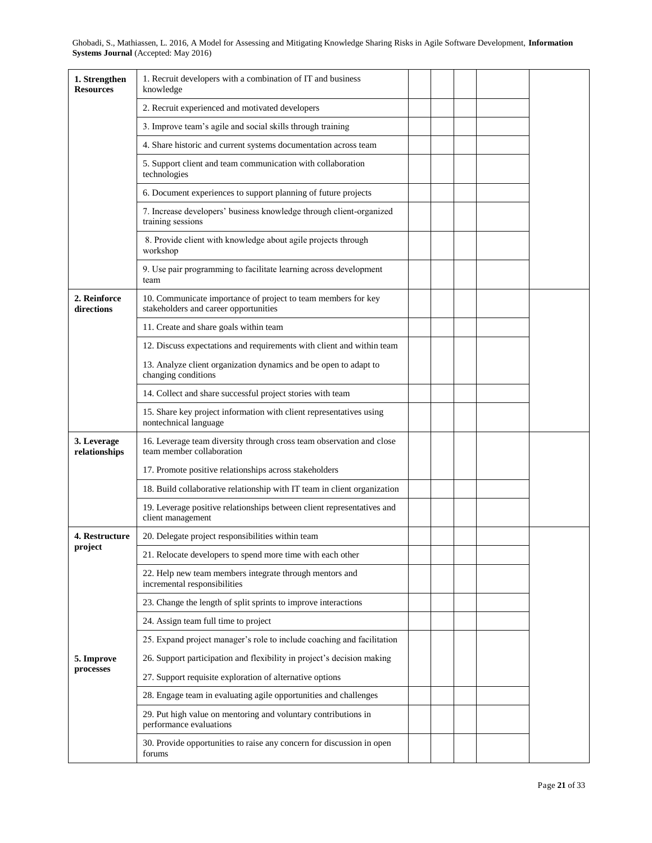| 1. Strengthen<br><b>Resources</b> | 1. Recruit developers with a combination of IT and business<br>knowledge                               |  |  |  |
|-----------------------------------|--------------------------------------------------------------------------------------------------------|--|--|--|
|                                   | 2. Recruit experienced and motivated developers                                                        |  |  |  |
|                                   | 3. Improve team's agile and social skills through training                                             |  |  |  |
|                                   | 4. Share historic and current systems documentation across team                                        |  |  |  |
|                                   | 5. Support client and team communication with collaboration<br>technologies                            |  |  |  |
|                                   | 6. Document experiences to support planning of future projects                                         |  |  |  |
|                                   | 7. Increase developers' business knowledge through client-organized<br>training sessions               |  |  |  |
|                                   | 8. Provide client with knowledge about agile projects through<br>workshop                              |  |  |  |
|                                   | 9. Use pair programming to facilitate learning across development<br>team                              |  |  |  |
| 2. Reinforce<br>directions        | 10. Communicate importance of project to team members for key<br>stakeholders and career opportunities |  |  |  |
|                                   | 11. Create and share goals within team                                                                 |  |  |  |
|                                   | 12. Discuss expectations and requirements with client and within team                                  |  |  |  |
|                                   | 13. Analyze client organization dynamics and be open to adapt to<br>changing conditions                |  |  |  |
|                                   | 14. Collect and share successful project stories with team                                             |  |  |  |
|                                   | 15. Share key project information with client representatives using<br>nontechnical language           |  |  |  |
| 3. Leverage<br>relationships      | 16. Leverage team diversity through cross team observation and close<br>team member collaboration      |  |  |  |
|                                   | 17. Promote positive relationships across stakeholders                                                 |  |  |  |
|                                   | 18. Build collaborative relationship with IT team in client organization                               |  |  |  |
|                                   | 19. Leverage positive relationships between client representatives and<br>client management            |  |  |  |
| 4. Restructure                    | 20. Delegate project responsibilities within team                                                      |  |  |  |
| project                           | 21. Relocate developers to spend more time with each other                                             |  |  |  |
|                                   | 22. Help new team members integrate through mentors and<br>incremental responsibilities                |  |  |  |
|                                   | 23. Change the length of split sprints to improve interactions                                         |  |  |  |
|                                   | 24. Assign team full time to project                                                                   |  |  |  |
|                                   | 25. Expand project manager's role to include coaching and facilitation                                 |  |  |  |
| 5. Improve                        | 26. Support participation and flexibility in project's decision making                                 |  |  |  |
| processes                         | 27. Support requisite exploration of alternative options                                               |  |  |  |
|                                   | 28. Engage team in evaluating agile opportunities and challenges                                       |  |  |  |
|                                   | 29. Put high value on mentoring and voluntary contributions in<br>performance evaluations              |  |  |  |
|                                   | 30. Provide opportunities to raise any concern for discussion in open<br>forums                        |  |  |  |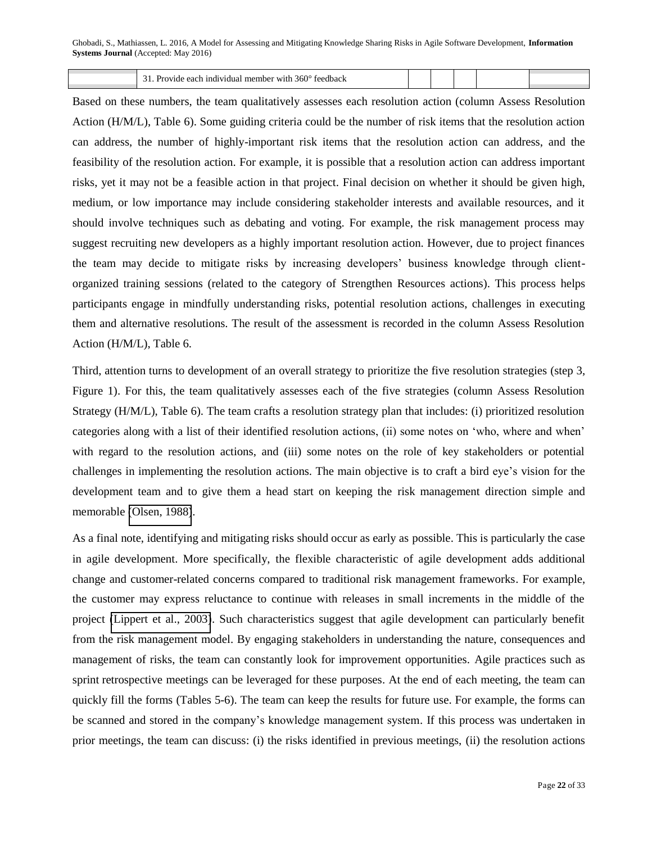#### 31. Provide each individual member with 360° feedback

Based on these numbers, the team qualitatively assesses each resolution action (column Assess Resolution Action (H/M/L), Table 6). Some guiding criteria could be the number of risk items that the resolution action can address, the number of highly-important risk items that the resolution action can address, and the feasibility of the resolution action. For example, it is possible that a resolution action can address important risks, yet it may not be a feasible action in that project. Final decision on whether it should be given high, medium, or low importance may include considering stakeholder interests and available resources, and it should involve techniques such as debating and voting. For example, the risk management process may suggest recruiting new developers as a highly important resolution action. However, due to project finances the team may decide to mitigate risks by increasing developers' business knowledge through clientorganized training sessions (related to the category of Strengthen Resources actions). This process helps participants engage in mindfully understanding risks, potential resolution actions, challenges in executing them and alternative resolutions. The result of the assessment is recorded in the column Assess Resolution Action (H/M/L), Table 6.

Third, attention turns to development of an overall strategy to prioritize the five resolution strategies (step 3, Figure 1). For this, the team qualitatively assesses each of the five strategies (column Assess Resolution Strategy (H/M/L), Table 6). The team crafts a resolution strategy plan that includes: (i) prioritized resolution categories along with a list of their identified resolution actions, (ii) some notes on 'who, where and when' with regard to the resolution actions, and (iii) some notes on the role of key stakeholders or potential challenges in implementing the resolution actions. The main objective is to craft a bird eye's vision for the development team and to give them a head start on keeping the risk management direction simple and memorable [\(Olsen, 1988\)](#page-28-8).

As a final note, identifying and mitigating risks should occur as early as possible. This is particularly the case in agile development. More specifically, the flexible characteristic of agile development adds additional change and customer-related concerns compared to traditional risk management frameworks. For example, the customer may express reluctance to continue with releases in small increments in the middle of the project [\(Lippert et al., 2003\)](#page-27-14). Such characteristics suggest that agile development can particularly benefit from the risk management model. By engaging stakeholders in understanding the nature, consequences and management of risks, the team can constantly look for improvement opportunities. Agile practices such as sprint retrospective meetings can be leveraged for these purposes. At the end of each meeting, the team can quickly fill the forms (Tables 5-6). The team can keep the results for future use. For example, the forms can be scanned and stored in the company's knowledge management system. If this process was undertaken in prior meetings, the team can discuss: (i) the risks identified in previous meetings, (ii) the resolution actions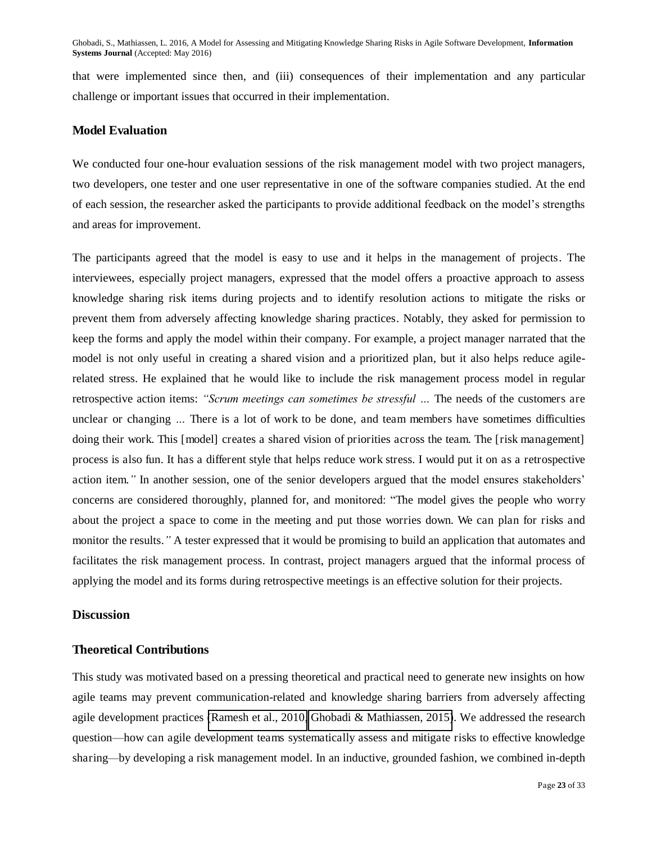that were implemented since then, and (iii) consequences of their implementation and any particular challenge or important issues that occurred in their implementation.

#### **Model Evaluation**

We conducted four one-hour evaluation sessions of the risk management model with two project managers, two developers, one tester and one user representative in one of the software companies studied. At the end of each session, the researcher asked the participants to provide additional feedback on the model's strengths and areas for improvement.

The participants agreed that the model is easy to use and it helps in the management of projects. The interviewees, especially project managers, expressed that the model offers a proactive approach to assess knowledge sharing risk items during projects and to identify resolution actions to mitigate the risks or prevent them from adversely affecting knowledge sharing practices. Notably, they asked for permission to keep the forms and apply the model within their company. For example, a project manager narrated that the model is not only useful in creating a shared vision and a prioritized plan, but it also helps reduce agilerelated stress. He explained that he would like to include the risk management process model in regular retrospective action items: *"Scrum meetings can sometimes be stressful …* The needs of the customers are unclear or changing *…* There is a lot of work to be done, and team members have sometimes difficulties doing their work. This [model] creates a shared vision of priorities across the team. The [risk management] process is also fun. It has a different style that helps reduce work stress. I would put it on as a retrospective action item.*"* In another session, one of the senior developers argued that the model ensures stakeholders' concerns are considered thoroughly, planned for, and monitored: "The model gives the people who worry about the project a space to come in the meeting and put those worries down. We can plan for risks and monitor the results.*"* A tester expressed that it would be promising to build an application that automates and facilitates the risk management process. In contrast, project managers argued that the informal process of applying the model and its forms during retrospective meetings is an effective solution for their projects.

#### **Discussion**

#### **Theoretical Contributions**

This study was motivated based on a pressing theoretical and practical need to generate new insights on how agile teams may prevent communication-related and knowledge sharing barriers from adversely affecting agile development practices [\(Ramesh et al., 2010,](#page-28-2) [Ghobadi & Mathiassen, 2015\)](#page-27-4). We addressed the research question—how can agile development teams systematically assess and mitigate risks to effective knowledge sharing*—*by developing a risk management model. In an inductive, grounded fashion, we combined in-depth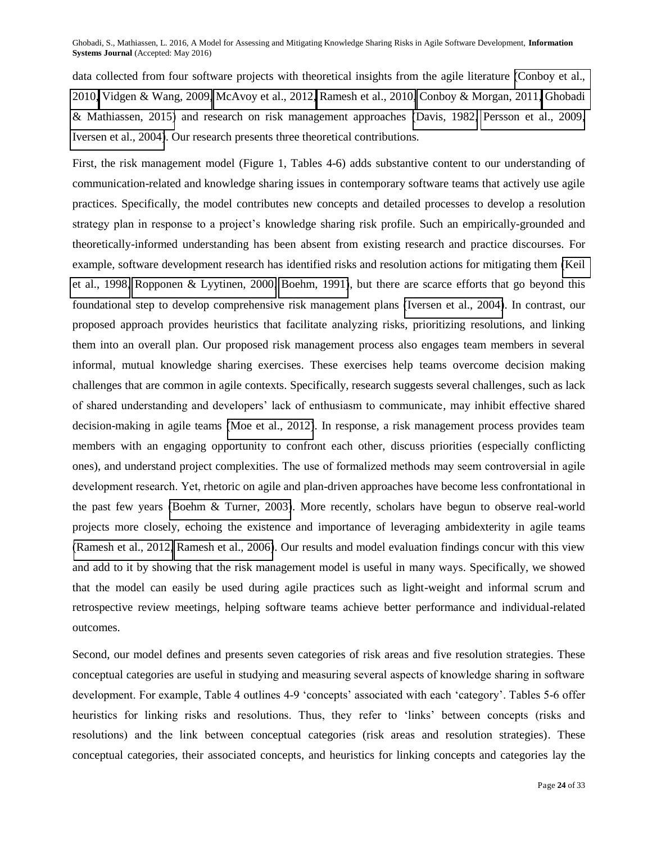data collected from four software projects with theoretical insights from the agile literature [\(Conboy et al.,](#page-26-3)  [2010,](#page-26-3) [Vidgen & Wang, 2009,](#page-28-1) [McAvoy et al., 2012,](#page-27-1) [Ramesh et al., 2010,](#page-28-2) [Conboy & Morgan, 2011,](#page-26-4) [Ghobadi](#page-27-4)  [& Mathiassen, 2015\)](#page-27-4) and research on risk management approaches [\(Davis, 1982,](#page-26-8) [Persson et al., 2009,](#page-28-3) [Iversen et al., 2004\)](#page-27-10). Our research presents three theoretical contributions.

First, the risk management model (Figure 1, Tables 4-6) adds substantive content to our understanding of communication-related and knowledge sharing issues in contemporary software teams that actively use agile practices. Specifically, the model contributes new concepts and detailed processes to develop a resolution strategy plan in response to a project's knowledge sharing risk profile. Such an empirically-grounded and theoretically-informed understanding has been absent from existing research and practice discourses. For example, software development research has identified risks and resolution actions for mitigating them [\(Keil](#page-27-23)  [et al., 1998,](#page-27-23) [Ropponen & Lyytinen, 2000,](#page-28-9) [Boehm, 1991\)](#page-26-7), but there are scarce efforts that go beyond this foundational step to develop comprehensive risk management plans [\(Iversen et al., 2004\)](#page-27-10). In contrast, our proposed approach provides heuristics that facilitate analyzing risks, prioritizing resolutions, and linking them into an overall plan. Our proposed risk management process also engages team members in several informal, mutual knowledge sharing exercises. These exercises help teams overcome decision making challenges that are common in agile contexts. Specifically, research suggests several challenges, such as lack of shared understanding and developers' lack of enthusiasm to communicate, may inhibit effective shared decision-making in agile teams [\(Moe et al., 2012\)](#page-28-10). In response, a risk management process provides team members with an engaging opportunity to confront each other, discuss priorities (especially conflicting ones), and understand project complexities. The use of formalized methods may seem controversial in agile development research. Yet, rhetoric on agile and plan-driven approaches have become less confrontational in the past few years [\(Boehm & Turner, 2003\)](#page-26-6). More recently, scholars have begun to observe real-world projects more closely, echoing the existence and importance of leveraging ambidexterity in agile teams [\(Ramesh et al., 2012,](#page-28-11) [Ramesh et al., 2006\)](#page-28-12). Our results and model evaluation findings concur with this view and add to it by showing that the risk management model is useful in many ways. Specifically, we showed that the model can easily be used during agile practices such as light-weight and informal scrum and retrospective review meetings, helping software teams achieve better performance and individual-related outcomes.

Second, our model defines and presents seven categories of risk areas and five resolution strategies. These conceptual categories are useful in studying and measuring several aspects of knowledge sharing in software development. For example, Table 4 outlines 4-9 'concepts' associated with each 'category'. Tables 5-6 offer heuristics for linking risks and resolutions. Thus, they refer to 'links' between concepts (risks and resolutions) and the link between conceptual categories (risk areas and resolution strategies). These conceptual categories, their associated concepts, and heuristics for linking concepts and categories lay the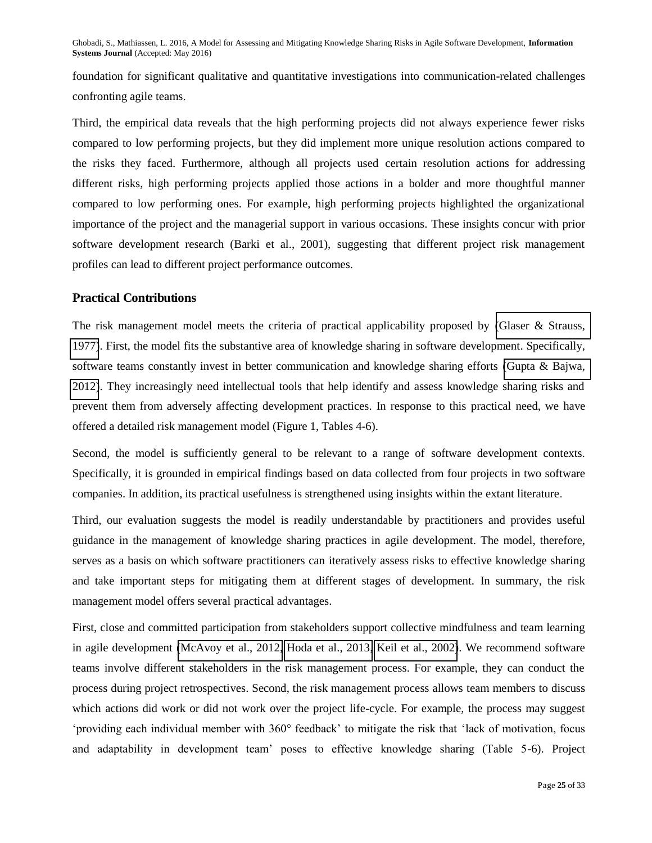foundation for significant qualitative and quantitative investigations into communication-related challenges confronting agile teams.

Third, the empirical data reveals that the high performing projects did not always experience fewer risks compared to low performing projects, but they did implement more unique resolution actions compared to the risks they faced. Furthermore, although all projects used certain resolution actions for addressing different risks, high performing projects applied those actions in a bolder and more thoughtful manner compared to low performing ones. For example, high performing projects highlighted the organizational importance of the project and the managerial support in various occasions. These insights concur with prior software development research (Barki et al., 2001), suggesting that different project risk management profiles can lead to different project performance outcomes.

#### **Practical Contributions**

The risk management model meets the criteria of practical applicability proposed by [\(Glaser & Strauss,](#page-27-9)  [1977\)](#page-27-9). First, the model fits the substantive area of knowledge sharing in software development. Specifically, software teams constantly invest in better communication and knowledge sharing efforts [\(Gupta & Bajwa,](#page-27-6)  [2012\)](#page-27-6). They increasingly need intellectual tools that help identify and assess knowledge sharing risks and prevent them from adversely affecting development practices. In response to this practical need, we have offered a detailed risk management model (Figure 1, Tables 4-6).

Second, the model is sufficiently general to be relevant to a range of software development contexts. Specifically, it is grounded in empirical findings based on data collected from four projects in two software companies. In addition, its practical usefulness is strengthened using insights within the extant literature.

Third, our evaluation suggests the model is readily understandable by practitioners and provides useful guidance in the management of knowledge sharing practices in agile development. The model, therefore, serves as a basis on which software practitioners can iteratively assess risks to effective knowledge sharing and take important steps for mitigating them at different stages of development. In summary, the risk management model offers several practical advantages.

First, close and committed participation from stakeholders support collective mindfulness and team learning in agile development [\(McAvoy et al., 2012,](#page-27-1) [Hoda et al., 2013,](#page-27-24) [Keil et al., 2002\)](#page-27-25). We recommend software teams involve different stakeholders in the risk management process. For example, they can conduct the process during project retrospectives. Second, the risk management process allows team members to discuss which actions did work or did not work over the project life-cycle. For example, the process may suggest 'providing each individual member with 360° feedback' to mitigate the risk that 'lack of motivation, focus and adaptability in development team' poses to effective knowledge sharing (Table 5-6). Project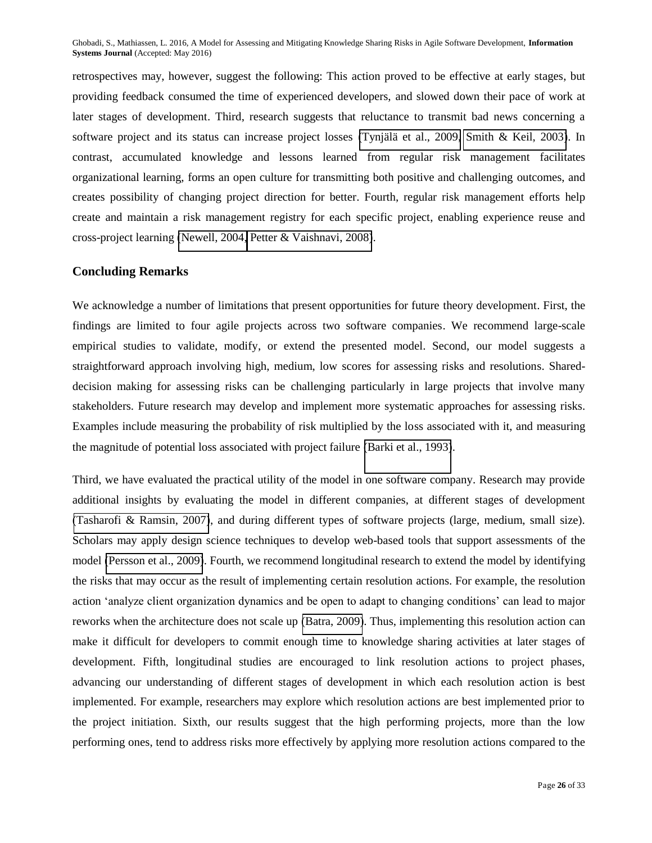retrospectives may, however, suggest the following: This action proved to be effective at early stages, but providing feedback consumed the time of experienced developers, and slowed down their pace of work at later stages of development. Third, research suggests that reluctance to transmit bad news concerning a software project and its status can increase project losses [\(Tynjälä et al., 2009,](#page-28-13) [Smith & Keil, 2003\)](#page-28-14). In contrast, accumulated knowledge and lessons learned from regular risk management facilitates organizational learning, forms an open culture for transmitting both positive and challenging outcomes, and creates possibility of changing project direction for better. Fourth, regular risk management efforts help create and maintain a risk management registry for each specific project, enabling experience reuse and cross-project learning [\(Newell, 2004,](#page-28-15) [Petter & Vaishnavi, 2008\)](#page-28-16).

#### **Concluding Remarks**

<span id="page-26-15"></span><span id="page-26-14"></span><span id="page-26-9"></span>We acknowledge a number of limitations that present opportunities for future theory development. First, the findings are limited to four agile projects across two software companies. We recommend large-scale empirical studies to validate, modify, or extend the presented model. Second, our model suggests a straightforward approach involving high, medium, low scores for assessing risks and resolutions. Shareddecision making for assessing risks can be challenging particularly in large projects that involve many stakeholders. Future research may develop and implement more systematic approaches for assessing risks. Examples include measuring the probability of risk multiplied by the loss associated with it, and measuring the magnitude of potential loss associated with project failure [\(Barki et al., 1993\)](#page-26-9).

<span id="page-26-13"></span><span id="page-26-12"></span><span id="page-26-11"></span><span id="page-26-10"></span><span id="page-26-8"></span><span id="page-26-7"></span><span id="page-26-6"></span><span id="page-26-5"></span><span id="page-26-4"></span><span id="page-26-3"></span><span id="page-26-2"></span><span id="page-26-1"></span><span id="page-26-0"></span>Third, we have evaluated the practical utility of the model in one software company. Research may provide additional insights by evaluating the model in different companies, at different stages of development [\(Tasharofi & Ramsin, 2007\)](#page-28-17), and during different types of software projects (large, medium, small size). Scholars may apply design science techniques to develop web-based tools that support assessments of the model [\(Persson et al., 2009\)](#page-28-3). Fourth, we recommend longitudinal research to extend the model by identifying the risks that may occur as the result of implementing certain resolution actions. For example, the resolution action 'analyze client organization dynamics and be open to adapt to changing conditions' can lead to major reworks when the architecture does not scale up [\(Batra, 2009\)](#page-26-13). Thus, implementing this resolution action can make it difficult for developers to commit enough time to knowledge sharing activities at later stages of development. Fifth, longitudinal studies are encouraged to link resolution actions to project phases, advancing our understanding of different stages of development in which each resolution action is best implemented. For example, researchers may explore which resolution actions are best implemented prior to the project initiation. Sixth, our results suggest that the high performing projects, more than the low performing ones, tend to address risks more effectively by applying more resolution actions compared to the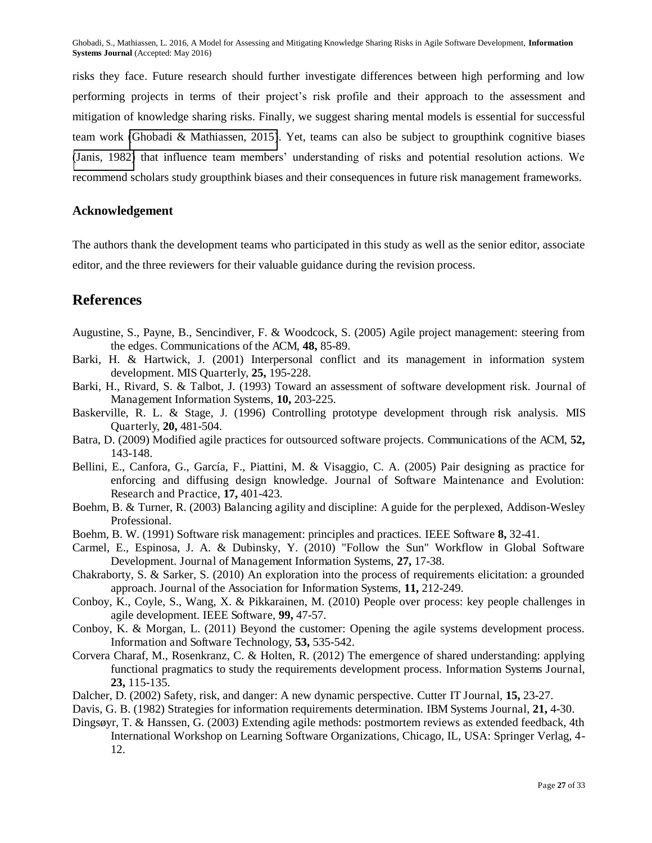<span id="page-27-17"></span><span id="page-27-12"></span><span id="page-27-5"></span>risks they face. Future research should further investigate differences between high performing and low performing projects in terms of their project's risk profile and their approach to the assessment and mitigation of knowledge sharing risks. Finally, we suggest sharing mental models is essential for successful team work [\(Ghobadi & Mathiassen, 2015\)](#page-27-4). Yet, teams can also be subject to groupthink cognitive biases [\(Janis, 1982\)](#page-27-26) that influence team members' understanding of risks and potential resolution actions. We recommend scholars study groupthink biases and their consequences in future risk management frameworks.

#### <span id="page-27-21"></span><span id="page-27-20"></span><span id="page-27-19"></span><span id="page-27-18"></span>**Acknowledgement**

<span id="page-27-13"></span><span id="page-27-11"></span>The authors thank the development teams who participated in this study as well as the senior editor, associate editor, and the three reviewers for their valuable guidance during the revision process.

## <span id="page-27-3"></span>**References**

- <span id="page-27-4"></span>Augustine, S., Payne, B., Sencindiver, F. & Woodcock, S. (2005) Agile project management: steering from the edges. Communications of the ACM, **48,** 85-89.
- <span id="page-27-9"></span><span id="page-27-6"></span>Barki, H. & Hartwick, J. (2001) Interpersonal conflict and its management in information system development. MIS Quarterly, **25,** 195-228.
- <span id="page-27-2"></span>Barki, H., Rivard, S. & Talbot, J. (1993) Toward an assessment of software development risk. Journal of Management Information Systems, **10,** 203-225.
- <span id="page-27-24"></span><span id="page-27-0"></span>Baskerville, R. L. & Stage, J. (1996) Controlling prototype development through risk analysis. MIS Quarterly, **20,** 481-504.
- <span id="page-27-10"></span>Batra, D. (2009) Modified agile practices for outsourced software projects. Communications of the ACM, **52,** 143-148.
- <span id="page-27-26"></span>Bellini, E., Canfora, G., García, F., Piattini, M. & Visaggio, C. A. (2005) Pair designing as practice for enforcing and diffusing design knowledge. Journal of Software Maintenance and Evolution: Research and Practice, **17,** 401-423.
- <span id="page-27-7"></span>Boehm, B. & Turner, R. (2003) Balancing agility and discipline: A guide for the perplexed, Addison-Wesley Professional.
- <span id="page-27-23"></span>Boehm, B. W. (1991) Software risk management: principles and practices. IEEE Software **8,** 32-41.
- <span id="page-27-25"></span>Carmel, E., Espinosa, J. A. & Dubinsky, Y. (2010) "Follow the Sun" Workflow in Global Software Development. Journal of Management Information Systems, **27,** 17-38.
- <span id="page-27-22"></span>Chakraborty, S. & Sarker, S. (2010) An exploration into the process of requirements elicitation: a grounded approach. Journal of the Association for Information Systems, **11,** 212-249.
- <span id="page-27-14"></span>Conboy, K., Coyle, S., Wang, X. & Pikkarainen, M. (2010) People over process: key people challenges in agile development. IEEE Software, **99,** 47-57.
- <span id="page-27-16"></span>Conboy, K. & Morgan, L. (2011) Beyond the customer: Opening the agile systems development process. Information and Software Technology, **53,** 535-542.
- <span id="page-27-8"></span>Corvera Charaf, M., Rosenkranz, C. & Holten, R. (2012) The emergence of shared understanding: applying functional pragmatics to study the requirements development process. Information Systems Journal, **23,** 115-135.
- Dalcher, D. (2002) Safety, risk, and danger: A new dynamic perspective. Cutter IT Journal, **15,** 23-27.
- <span id="page-27-1"></span>Davis, G. B. (1982) Strategies for information requirements determination. IBM Systems Journal, **21,** 4-30.
- <span id="page-27-15"></span>Dingsøyr, T. & Hanssen, G. (2003) Extending agile methods: postmortem reviews as extended feedback, 4th International Workshop on Learning Software Organizations, Chicago, IL, USA: Springer Verlag, 4- 12.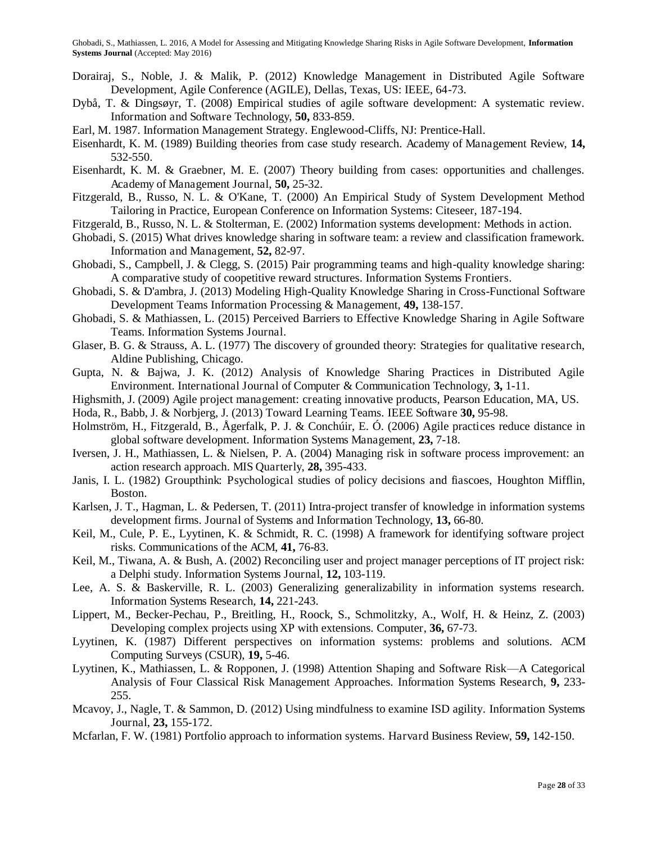- <span id="page-28-10"></span>Dorairaj, S., Noble, J. & Malik, P. (2012) Knowledge Management in Distributed Agile Software Development, Agile Conference (AGILE), Dellas, Texas, US: IEEE, 64-73.
- <span id="page-28-0"></span>Dybå, T. & Dingsøyr, T. (2008) Empirical studies of agile software development: A systematic review. Information and Software Technology, **50,** 833-859.
- <span id="page-28-15"></span>Earl, M. 1987. Information Management Strategy. Englewood-Cliffs, NJ: Prentice-Hall.
- <span id="page-28-5"></span>Eisenhardt, K. M. (1989) Building theories from case study research. Academy of Management Review, **14,** 532-550.
- <span id="page-28-8"></span>Eisenhardt, K. M. & Graebner, M. E. (2007) Theory building from cases: opportunities and challenges. Academy of Management Journal, **50,** 25-32.
- <span id="page-28-3"></span>Fitzgerald, B., Russo, N. L. & O'Kane, T. (2000) An Empirical Study of System Development Method Tailoring in Practice, European Conference on Information Systems: Citeseer, 187-194.
- <span id="page-28-16"></span>Fitzgerald, B., Russo, N. L. & Stolterman, E. (2002) Information systems development: Methods in action.
- <span id="page-28-2"></span>Ghobadi, S. (2015) What drives knowledge sharing in software team: a review and classification framework. Information and Management, **52,** 82-97.
- <span id="page-28-12"></span>Ghobadi, S., Campbell, J. & Clegg, S. (2015) Pair programming teams and high-quality knowledge sharing: A comparative study of coopetitive reward structures. Information Systems Frontiers.
- Ghobadi, S. & D'ambra, J. (2013) Modeling High-Quality Knowledge Sharing in Cross-Functional Software Development Teams Information Processing & Management, **49,** 138-157.
- <span id="page-28-11"></span><span id="page-28-9"></span>Ghobadi, S. & Mathiassen, L. (2015) Perceived Barriers to Effective Knowledge Sharing in Agile Software Teams. Information Systems Journal.
- <span id="page-28-7"></span>Glaser, B. G. & Strauss, A. L. (1977) The discovery of grounded theory: Strategies for qualitative research, Aldine Publishing, Chicago.
- <span id="page-28-14"></span>Gupta, N. & Bajwa, J. K. (2012) Analysis of Knowledge Sharing Practices in Distributed Agile Environment. International Journal of Computer & Communication Technology, **3,** 1-11.
- Highsmith, J. (2009) Agile project management: creating innovative products, Pearson Education, MA, US.
- <span id="page-28-6"></span>Hoda, R., Babb, J. & Norbjerg, J. (2013) Toward Learning Teams. IEEE Software **30,** 95-98.
- <span id="page-28-17"></span>Holmström, H., Fitzgerald, B., Ågerfalk, P. J. & Conchúir, E. Ó. (2006) Agile practices reduce distance in global software development. Information Systems Management, **23,** 7-18.
- <span id="page-28-13"></span>Iversen, J. H., Mathiassen, L. & Nielsen, P. A. (2004) Managing risk in software process improvement: an action research approach. MIS Quarterly, **28,** 395-433.
- Janis, I. L. (1982) Groupthink: Psychological studies of policy decisions and fiascoes, Houghton Mifflin, Boston.
- <span id="page-28-1"></span>Karlsen, J. T., Hagman, L. & Pedersen, T. (2011) Intra-project transfer of knowledge in information systems development firms. Journal of Systems and Information Technology, **13,** 66-80.
- <span id="page-28-4"></span>Keil, M., Cule, P. E., Lyytinen, K. & Schmidt, R. C. (1998) A framework for identifying software project risks. Communications of the ACM, **41,** 76-83.
- Keil, M., Tiwana, A. & Bush, A. (2002) Reconciling user and project manager perceptions of IT project risk: a Delphi study. Information Systems Journal, **12,** 103-119.
- Lee, A. S. & Baskerville, R. L. (2003) Generalizing generalizability in information systems research. Information Systems Research, **14,** 221-243.
- Lippert, M., Becker-Pechau, P., Breitling, H., Roock, S., Schmolitzky, A., Wolf, H. & Heinz, Z. (2003) Developing complex projects using XP with extensions. Computer, **36,** 67-73.
- Lyytinen, K. (1987) Different perspectives on information systems: problems and solutions. ACM Computing Surveys (CSUR), **19,** 5-46.
- Lyytinen, K., Mathiassen, L. & Ropponen, J. (1998) Attention Shaping and Software Risk—A Categorical Analysis of Four Classical Risk Management Approaches. Information Systems Research, **9,** 233- 255.
- Mcavoy, J., Nagle, T. & Sammon, D. (2012) Using mindfulness to examine ISD agility. Information Systems Journal, **23,** 155-172.
- Mcfarlan, F. W. (1981) Portfolio approach to information systems. Harvard Business Review, **59,** 142-150.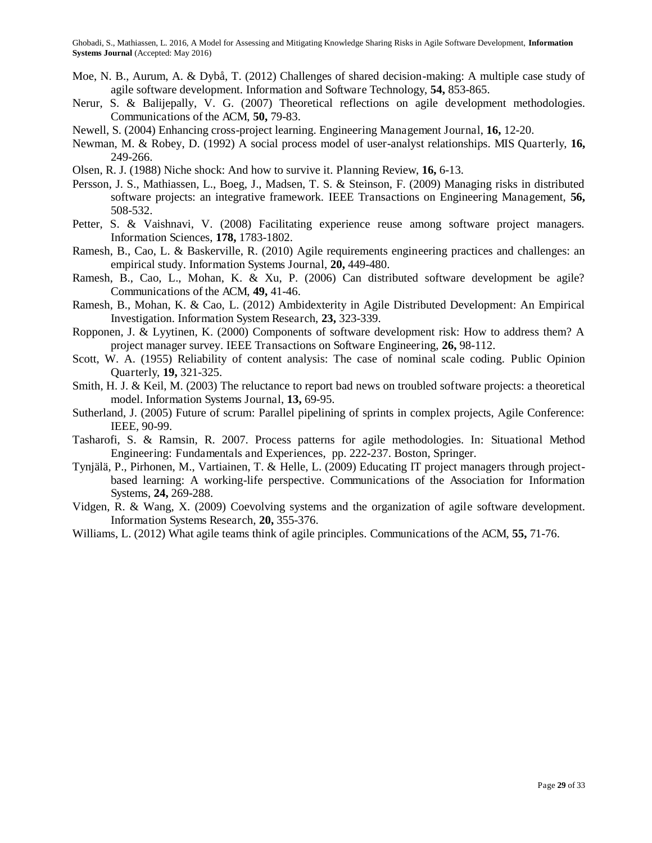- Moe, N. B., Aurum, A. & Dybå, T. (2012) Challenges of shared decision-making: A multiple case study of agile software development. Information and Software Technology, **54,** 853-865.
- Nerur, S. & Balijepally, V. G. (2007) Theoretical reflections on agile development methodologies. Communications of the ACM, **50,** 79-83.
- Newell, S. (2004) Enhancing cross-project learning. Engineering Management Journal, **16,** 12-20.
- Newman, M. & Robey, D. (1992) A social process model of user-analyst relationships. MIS Quarterly, **16,** 249-266.
- Olsen, R. J. (1988) Niche shock: And how to survive it. Planning Review, **16,** 6-13.
- Persson, J. S., Mathiassen, L., Boeg, J., Madsen, T. S. & Steinson, F. (2009) Managing risks in distributed software projects: an integrative framework. IEEE Transactions on Engineering Management, **56,** 508-532.
- Petter, S. & Vaishnavi, V. (2008) Facilitating experience reuse among software project managers. Information Sciences, **178,** 1783-1802.
- Ramesh, B., Cao, L. & Baskerville, R. (2010) Agile requirements engineering practices and challenges: an empirical study. Information Systems Journal, **20,** 449-480.
- Ramesh, B., Cao, L., Mohan, K. & Xu, P. (2006) Can distributed software development be agile? Communications of the ACM, **49,** 41-46.
- Ramesh, B., Mohan, K. & Cao, L. (2012) Ambidexterity in Agile Distributed Development: An Empirical Investigation. Information System Research, **23,** 323-339.
- Ropponen, J. & Lyytinen, K. (2000) Components of software development risk: How to address them? A project manager survey. IEEE Transactions on Software Engineering, **26,** 98-112.
- Scott, W. A. (1955) Reliability of content analysis: The case of nominal scale coding. Public Opinion Quarterly, **19,** 321-325.
- Smith, H. J. & Keil, M. (2003) The reluctance to report bad news on troubled software projects: a theoretical model. Information Systems Journal, **13,** 69-95.
- Sutherland, J. (2005) Future of scrum: Parallel pipelining of sprints in complex projects, Agile Conference: IEEE, 90-99.
- Tasharofi, S. & Ramsin, R. 2007. Process patterns for agile methodologies. In: Situational Method Engineering: Fundamentals and Experiences, pp. 222-237. Boston, Springer.
- Tynjälä, P., Pirhonen, M., Vartiainen, T. & Helle, L. (2009) Educating IT project managers through projectbased learning: A working-life perspective. Communications of the Association for Information Systems, **24,** 269-288.
- Vidgen, R. & Wang, X. (2009) Coevolving systems and the organization of agile software development. Information Systems Research, **20,** 355-376.
- Williams, L. (2012) What agile teams think of agile principles. Communications of the ACM, **55,** 71-76.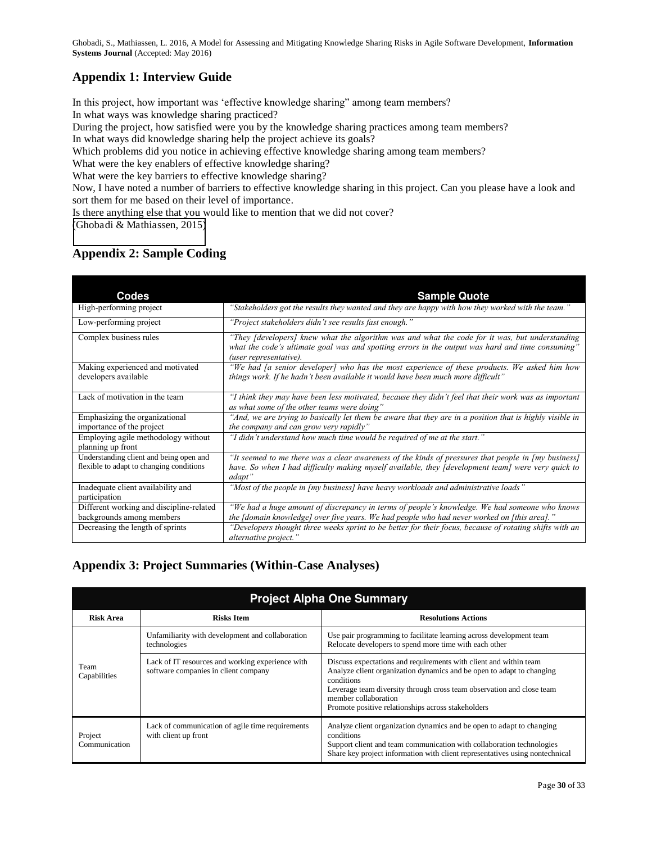## **Appendix 1: Interview Guide**

In this project, how important was 'effective knowledge sharing" among team members? In what ways was knowledge sharing practiced?

During the project, how satisfied were you by the knowledge sharing practices among team members?

In what ways did knowledge sharing help the project achieve its goals?

Which problems did you notice in achieving effective knowledge sharing among team members?

What were the key enablers of effective knowledge sharing?

What were the key barriers to effective knowledge sharing?

Now, I have noted a number of barriers to effective knowledge sharing in this project. Can you please have a look and sort them for me based on their level of importance.

Is there anything else that you would like to mention that we did not cover?

[\(Ghobadi & Mathiassen, 2015\)](#page-27-4)

## **Appendix 2: Sample Coding**

| Codes                                                                               | <b>Sample Quote</b>                                                                                                                                                                                                          |
|-------------------------------------------------------------------------------------|------------------------------------------------------------------------------------------------------------------------------------------------------------------------------------------------------------------------------|
| High-performing project                                                             | "Stakeholders got the results they wanted and they are happy with how they worked with the team."                                                                                                                            |
| Low-performing project                                                              | "Project stakeholders didn't see results fast enough."                                                                                                                                                                       |
| Complex business rules                                                              | "They [developers] knew what the algorithm was and what the code for it was, but understanding<br>what the code's ultimate goal was and spotting errors in the output was hard and time consuming"<br>(user representative). |
| Making experienced and motivated<br>developers available                            | "We had [a senior developer] who has the most experience of these products. We asked him how<br>things work. If he hadn't been available it would have been much more difficult"                                             |
| Lack of motivation in the team                                                      | "I think they may have been less motivated, because they didn't feel that their work was as important<br>as what some of the other teams were doing"                                                                         |
| Emphasizing the organizational<br>importance of the project                         | "And, we are trying to basically let them be aware that they are in a position that is highly visible in<br>the company and can grow very rapidly"                                                                           |
| Employing agile methodology without<br>planning up front                            | "I didn't understand how much time would be required of me at the start."                                                                                                                                                    |
| Understanding client and being open and<br>flexible to adapt to changing conditions | "It seemed to me there was a clear awareness of the kinds of pressures that people in [my business]<br>have. So when I had difficulty making myself available, they [development team] were very quick to<br>adapt"          |
| Inadequate client availability and<br>participation                                 | "Most of the people in [my business] have heavy workloads and administrative loads"                                                                                                                                          |
| Different working and discipline-related<br>backgrounds among members               | "We had a huge amount of discrepancy in terms of people's knowledge. We had someone who knows<br>the [domain knowledge] over five years. We had people who had never worked on [this area]."                                 |
| Decreasing the length of sprints                                                    | "Developers thought three weeks sprint to be better for their focus, because of rotating shifts with an<br><i>alternative project.</i> "                                                                                     |

## **Appendix 3: Project Summaries (Within-Case Analyses)**

| <b>Project Alpha One Summary</b> |                                                                                          |                                                                                                                                                                                                                                                                                                                 |
|----------------------------------|------------------------------------------------------------------------------------------|-----------------------------------------------------------------------------------------------------------------------------------------------------------------------------------------------------------------------------------------------------------------------------------------------------------------|
| <b>Risk Area</b>                 | <b>Risks Item</b>                                                                        | <b>Resolutions Actions</b>                                                                                                                                                                                                                                                                                      |
|                                  | Unfamiliarity with development and collaboration<br>technologies                         | Use pair programming to facilitate learning across development team<br>Relocate developers to spend more time with each other                                                                                                                                                                                   |
| Team<br>Capabilities             | Lack of IT resources and working experience with<br>software companies in client company | Discuss expectations and requirements with client and within team<br>Analyze client organization dynamics and be open to adapt to changing<br>conditions<br>Leverage team diversity through cross team observation and close team<br>member collaboration<br>Promote positive relationships across stakeholders |
| Project<br>Communication         | Lack of communication of agile time requirements<br>with client up front                 | Analyze client organization dynamics and be open to adapt to changing<br>conditions<br>Support client and team communication with collaboration technologies<br>Share key project information with client representatives using nontechnical                                                                    |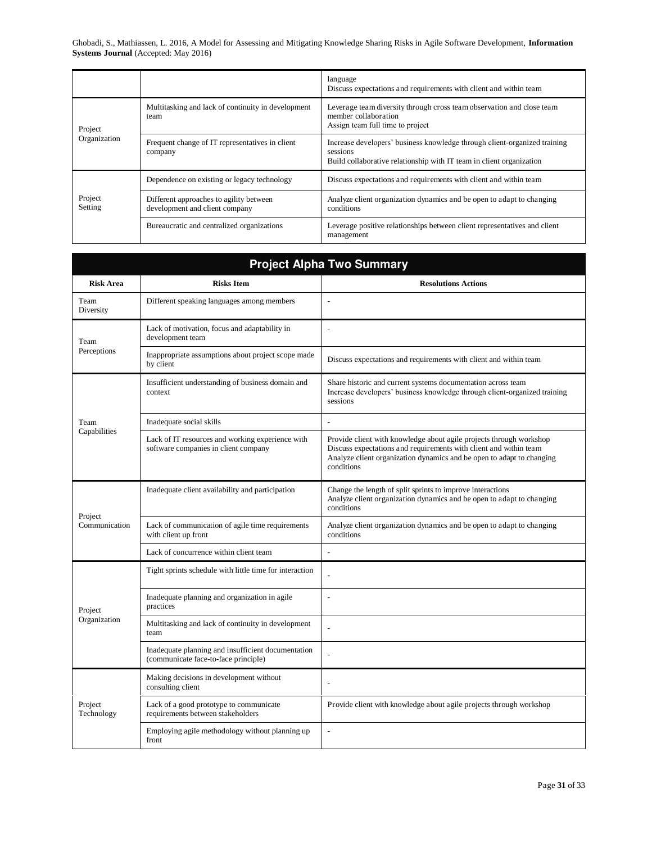|                         |                                                                           | language<br>Discuss expectations and requirements with client and within team                                                                                 |
|-------------------------|---------------------------------------------------------------------------|---------------------------------------------------------------------------------------------------------------------------------------------------------------|
| Project<br>Organization | Multitasking and lack of continuity in development<br>team                | Leverage team diversity through cross team observation and close team<br>member collaboration<br>Assign team full time to project                             |
|                         | Frequent change of IT representatives in client<br>company                | Increase developers' business knowledge through client-organized training<br>sessions<br>Build collaborative relationship with IT team in client organization |
| Project<br>Setting      | Dependence on existing or legacy technology                               | Discuss expectations and requirements with client and within team                                                                                             |
|                         | Different approaches to agility between<br>development and client company | Analyze client organization dynamics and be open to adapt to changing<br>conditions                                                                           |
|                         | Bureaucratic and centralized organizations                                | Leverage positive relationships between client representatives and client<br>management                                                                       |

| <b>Project Alpha Two Summary</b> |                                                                                            |                                                                                                                                                                                                                                 |
|----------------------------------|--------------------------------------------------------------------------------------------|---------------------------------------------------------------------------------------------------------------------------------------------------------------------------------------------------------------------------------|
| <b>Risk Area</b>                 | <b>Risks Item</b>                                                                          | <b>Resolutions Actions</b>                                                                                                                                                                                                      |
| Team<br>Diversity                | Different speaking languages among members                                                 | L,                                                                                                                                                                                                                              |
| Team<br>Perceptions              | Lack of motivation, focus and adaptability in<br>development team                          | $\overline{a}$                                                                                                                                                                                                                  |
|                                  | Inappropriate assumptions about project scope made<br>by client                            | Discuss expectations and requirements with client and within team                                                                                                                                                               |
|                                  | Insufficient understanding of business domain and<br>context                               | Share historic and current systems documentation across team<br>Increase developers' business knowledge through client-organized training<br>sessions                                                                           |
| Team                             | Inadequate social skills                                                                   |                                                                                                                                                                                                                                 |
| Capabilities                     | Lack of IT resources and working experience with<br>software companies in client company   | Provide client with knowledge about agile projects through workshop<br>Discuss expectations and requirements with client and within team<br>Analyze client organization dynamics and be open to adapt to changing<br>conditions |
| Project<br>Communication         | Inadequate client availability and participation                                           | Change the length of split sprints to improve interactions<br>Analyze client organization dynamics and be open to adapt to changing<br>conditions                                                                               |
|                                  | Lack of communication of agile time requirements<br>with client up front                   | Analyze client organization dynamics and be open to adapt to changing<br>conditions                                                                                                                                             |
|                                  | Lack of concurrence within client team                                                     | ÷,                                                                                                                                                                                                                              |
| Project<br>Organization          | Tight sprints schedule with little time for interaction                                    |                                                                                                                                                                                                                                 |
|                                  | Inadequate planning and organization in agile<br>practices                                 | $\overline{a}$                                                                                                                                                                                                                  |
|                                  | Multitasking and lack of continuity in development<br>team                                 |                                                                                                                                                                                                                                 |
|                                  | Inadequate planning and insufficient documentation<br>(communicate face-to-face principle) |                                                                                                                                                                                                                                 |
| Project<br>Technology            | Making decisions in development without<br>consulting client                               |                                                                                                                                                                                                                                 |
|                                  | Lack of a good prototype to communicate<br>requirements between stakeholders               | Provide client with knowledge about agile projects through workshop                                                                                                                                                             |
|                                  | Employing agile methodology without planning up<br>front                                   | ÷,                                                                                                                                                                                                                              |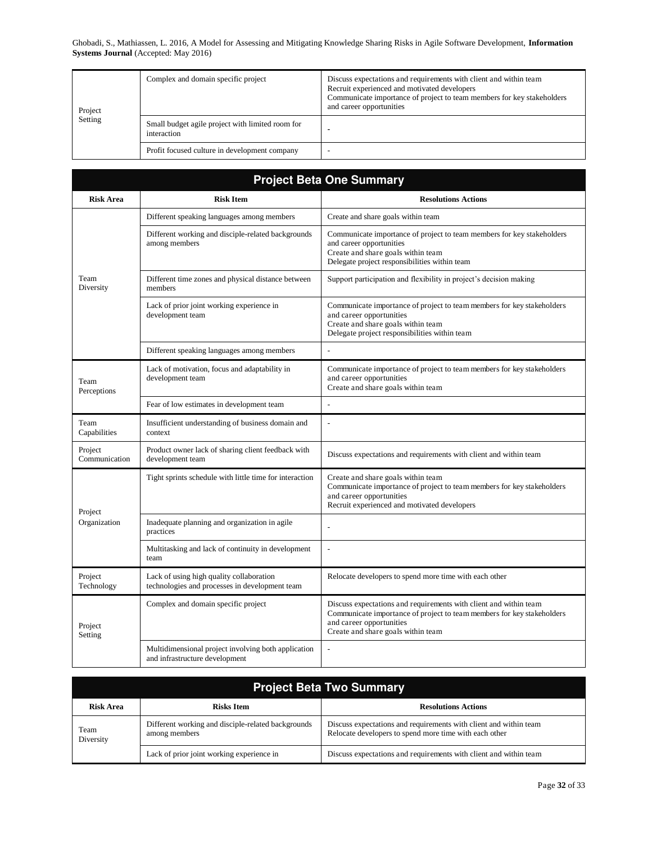| Project<br>Setting | Complex and domain specific project                             | Discuss expectations and requirements with client and within team<br>Recruit experienced and motivated developers<br>Communicate importance of project to team members for key stakeholders<br>and career opportunities |
|--------------------|-----------------------------------------------------------------|-------------------------------------------------------------------------------------------------------------------------------------------------------------------------------------------------------------------------|
|                    | Small budget agile project with limited room for<br>interaction |                                                                                                                                                                                                                         |
|                    | Profit focused culture in development company                   | -                                                                                                                                                                                                                       |

| <b>Project Beta One Summary</b> |                                                                                            |                                                                                                                                                                                                               |
|---------------------------------|--------------------------------------------------------------------------------------------|---------------------------------------------------------------------------------------------------------------------------------------------------------------------------------------------------------------|
| <b>Risk Area</b>                | <b>Risk Item</b>                                                                           | <b>Resolutions Actions</b>                                                                                                                                                                                    |
| Team<br>Diversity               | Different speaking languages among members                                                 | Create and share goals within team                                                                                                                                                                            |
|                                 | Different working and disciple-related backgrounds<br>among members                        | Communicate importance of project to team members for key stakeholders<br>and career opportunities<br>Create and share goals within team<br>Delegate project responsibilities within team                     |
|                                 | Different time zones and physical distance between<br>members                              | Support participation and flexibility in project's decision making                                                                                                                                            |
|                                 | Lack of prior joint working experience in<br>development team                              | Communicate importance of project to team members for key stakeholders<br>and career opportunities<br>Create and share goals within team<br>Delegate project responsibilities within team                     |
|                                 | Different speaking languages among members                                                 | $\overline{a}$                                                                                                                                                                                                |
| Team<br>Perceptions             | Lack of motivation, focus and adaptability in<br>development team                          | Communicate importance of project to team members for key stakeholders<br>and career opportunities<br>Create and share goals within team                                                                      |
|                                 | Fear of low estimates in development team                                                  | $\overline{a}$                                                                                                                                                                                                |
| Team<br>Capabilities            | Insufficient understanding of business domain and<br>context                               | $\overline{a}$                                                                                                                                                                                                |
| Project<br>Communication        | Product owner lack of sharing client feedback with<br>development team                     | Discuss expectations and requirements with client and within team                                                                                                                                             |
| Project<br>Organization         | Tight sprints schedule with little time for interaction                                    | Create and share goals within team<br>Communicate importance of project to team members for key stakeholders<br>and career opportunities<br>Recruit experienced and motivated developers                      |
|                                 | Inadequate planning and organization in agile<br>practices                                 | $\overline{a}$                                                                                                                                                                                                |
|                                 | Multitasking and lack of continuity in development<br>team                                 | $\overline{a}$                                                                                                                                                                                                |
| Project<br>Technology           | Lack of using high quality collaboration<br>technologies and processes in development team | Relocate developers to spend more time with each other                                                                                                                                                        |
| Project<br>Setting              | Complex and domain specific project                                                        | Discuss expectations and requirements with client and within team<br>Communicate importance of project to team members for key stakeholders<br>and career opportunities<br>Create and share goals within team |
|                                 | Multidimensional project involving both application<br>and infrastructure development      | $\overline{a}$                                                                                                                                                                                                |

| <b>Project Beta Two Summary</b> |                                                                     |                                                                                                                             |
|---------------------------------|---------------------------------------------------------------------|-----------------------------------------------------------------------------------------------------------------------------|
| Risk Area                       | <b>Risks Item</b>                                                   | <b>Resolutions Actions</b>                                                                                                  |
| Team<br>Diversity               | Different working and disciple-related backgrounds<br>among members | Discuss expectations and requirements with client and within team<br>Relocate developers to spend more time with each other |
|                                 | Lack of prior joint working experience in                           | Discuss expectations and requirements with client and within team                                                           |